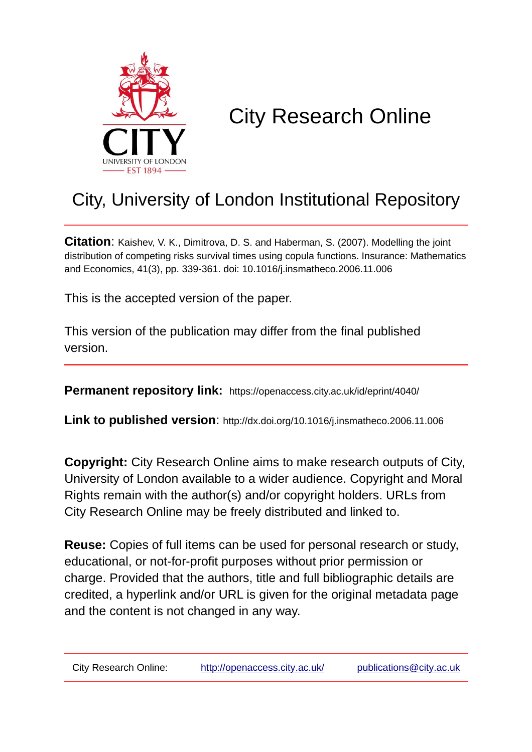

# City Research Online

## City, University of London Institutional Repository

**Citation**: Kaishev, V. K., Dimitrova, D. S. and Haberman, S. (2007). Modelling the joint distribution of competing risks survival times using copula functions. Insurance: Mathematics and Economics, 41(3), pp. 339-361. doi: 10.1016/j.insmatheco.2006.11.006

This is the accepted version of the paper.

This version of the publication may differ from the final published version.

**Permanent repository link:** https://openaccess.city.ac.uk/id/eprint/4040/

**Link to published version**: http://dx.doi.org/10.1016/j.insmatheco.2006.11.006

**Copyright:** City Research Online aims to make research outputs of City, University of London available to a wider audience. Copyright and Moral Rights remain with the author(s) and/or copyright holders. URLs from City Research Online may be freely distributed and linked to.

**Reuse:** Copies of full items can be used for personal research or study, educational, or not-for-profit purposes without prior permission or charge. Provided that the authors, title and full bibliographic details are credited, a hyperlink and/or URL is given for the original metadata page and the content is not changed in any way.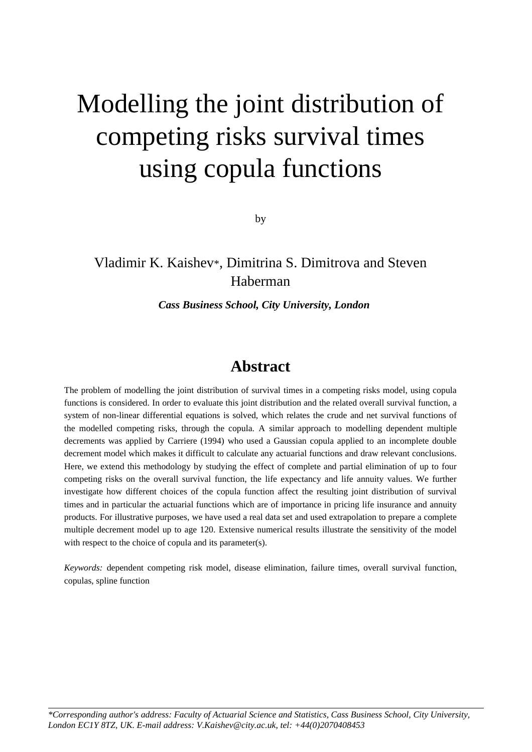# Modelling the joint distribution of competing risks survival times using copula functions

by

## Vladimir K. Kaishev\*, Dimitrina S. Dimitrova and Steven Haberman

#### *Cass Business School, City University, London*

## **Abstract**

The problem of modelling the joint distribution of survival times in a competing risks model, using copula functions is considered. In order to evaluate this joint distribution and the related overall survival function, a system of non-linear differential equations is solved, which relates the crude and net survival functions of the modelled competing risks, through the copula. A similar approach to modelling dependent multiple decrements was applied by Carriere (1994) who used a Gaussian copula applied to an incomplete double decrement model which makes it difficult to calculate any actuarial functions and draw relevant conclusions. Here, we extend this methodology by studying the effect of complete and partial elimination of up to four competing risks on the overall survival function, the life expectancy and life annuity values. We further investigate how different choices of the copula function affect the resulting joint distribution of survival times and in particular the actuarial functions which are of importance in pricing life insurance and annuity products. For illustrative purposes, we have used a real data set and used extrapolation to prepare a complete multiple decrement model up to age 120. Extensive numerical results illustrate the sensitivity of the model with respect to the choice of copula and its parameter(s).

*Keywords:* dependent competing risk model, disease elimination, failure times, overall survival function, copulas, spline function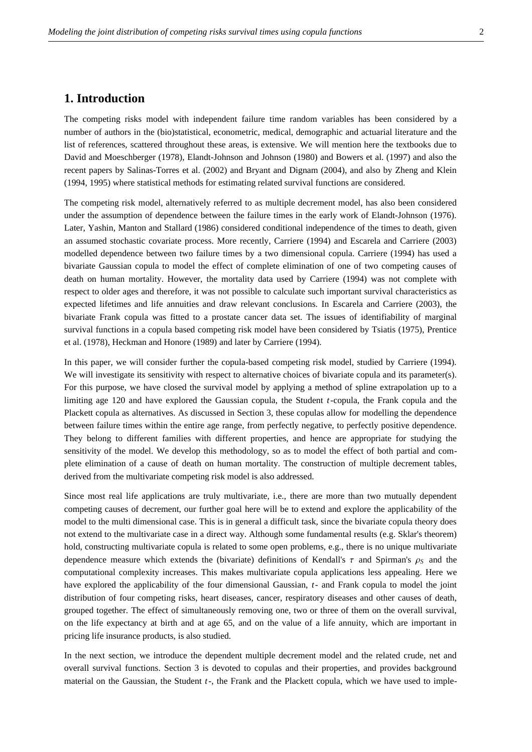#### **1. Introduction**

The competing risks model with independent failure time random variables has been considered by a number of authors in the (bio)statistical, econometric, medical, demographic and actuarial literature and the list of references, scattered throughout these areas, is extensive. We will mention here the textbooks due to David and Moeschberger (1978), Elandt-Johnson and Johnson (1980) and Bowers et al. (1997) and also the recent papers by Salinas-Torres et al. (2002) and Bryant and Dignam (2004), and also by Zheng and Klein (1994, 1995) where statistical methods for estimating related survival functions are considered.

The competing risk model, alternatively referred to as multiple decrement model, has also been considered under the assumption of dependence between the failure times in the early work of Elandt-Johnson (1976). Later, Yashin, Manton and Stallard (1986) considered conditional independence of the times to death, given an assumed stochastic covariate process. More recently, Carriere (1994) and Escarela and Carriere (2003) modelled dependence between two failure times by a two dimensional copula. Carriere (1994) has used a bivariate Gaussian copula to model the effect of complete elimination of one of two competing causes of death on human mortality. However, the mortality data used by Carriere (1994) was not complete with respect to older ages and therefore, it was not possible to calculate such important survival characteristics as expected lifetimes and life annuities and draw relevant conclusions. In Escarela and Carriere (2003), the bivariate Frank copula was fitted to a prostate cancer data set. The issues of identifiability of marginal survival functions in a copula based competing risk model have been considered by Tsiatis (1975), Prentice et al. (1978), Heckman and Honore (1989) and later by Carriere (1994).

In this paper, we will consider further the copula-based competing risk model, studied by Carriere (1994). We will investigate its sensitivity with respect to alternative choices of bivariate copula and its parameter(s). For this purpose, we have closed the survival model by applying a method of spline extrapolation up to a limiting age 120 and have explored the Gaussian copula, the Student *t*-copula, the Frank copula and the Plackett copula as alternatives. As discussed in Section 3, these copulas allow for modelling the dependence between failure times within the entire age range, from perfectly negative, to perfectly positive dependence. They belong to different families with different properties, and hence are appropriate for studying the sensitivity of the model. We develop this methodology, so as to model the effect of both partial and complete elimination of a cause of death on human mortality. The construction of multiple decrement tables, derived from the multivariate competing risk model is also addressed.

Since most real life applications are truly multivariate, i.e., there are more than two mutually dependent competing causes of decrement, our further goal here will be to extend and explore the applicability of the model to the multi dimensional case. This is in general a difficult task, since the bivariate copula theory does not extend to the multivariate case in a direct way. Although some fundamental results (e.g. Sklar's theorem) hold, constructing multivariate copula is related to some open problems, e.g., there is no unique multivariate dependence measure which extends the (bivariate) definitions of Kendall's  $\tau$  and Spirman's  $\rho_s$  and the computational complexity increases. This makes multivariate copula applications less appealing. Here we have explored the applicability of the four dimensional Gaussian, *t*- and Frank copula to model the joint distribution of four competing risks, heart diseases, cancer, respiratory diseases and other causes of death, grouped together. The effect of simultaneously removing one, two or three of them on the overall survival, on the life expectancy at birth and at age 65, and on the value of a life annuity, which are important in pricing life insurance products, is also studied.

In the next section, we introduce the dependent multiple decrement model and the related crude, net and overall survival functions. Section 3 is devoted to copulas and their properties, and provides background material on the Gaussian, the Student *t*-, the Frank and the Plackett copula, which we have used to imple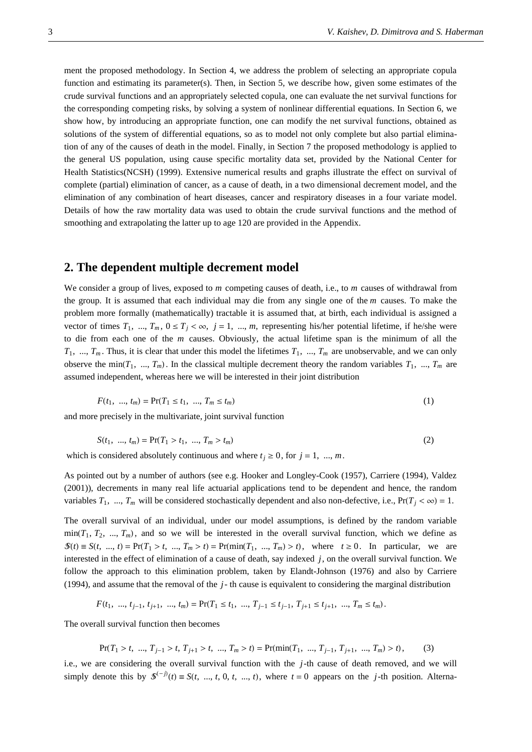ment the proposed methodology. In Section 4, we address the problem of selecting an appropriate copula function and estimating its parameter(s). Then, in Section 5, we describe how, given some estimates of the crude survival functions and an appropriately selected copula, one can evaluate the net survival functions for the corresponding competing risks, by solving a system of nonlinear differential equations. In Section 6, we show how, by introducing an appropriate function, one can modify the net survival functions, obtained as solutions of the system of differential equations, so as to model not only complete but also partial elimination of any of the causes of death in the model. Finally, in Section 7 the proposed methodology is applied to the general US population, using cause specific mortality data set, provided by the National Center for Health Statistics(NCSH) (1999). Extensive numerical results and graphs illustrate the effect on survival of complete (partial) elimination of cancer, as a cause of death, in a two dimensional decrement model, and the elimination of any combination of heart diseases, cancer and respiratory diseases in a four variate model. Details of how the raw mortality data was used to obtain the crude survival functions and the method of smoothing and extrapolating the latter up to age 120 are provided in the Appendix.

#### **2. The dependent multiple decrement model**

We consider a group of lives, exposed to *m* competing causes of death, i.e., to *m* causes of withdrawal from the group. It is assumed that each individual may die from any single one of the *m* causes. To make the problem more formally (mathematically) tractable it is assumed that, at birth, each individual is assigned a vector of times  $T_1$ , ...,  $T_m$ ,  $0 \le T_j < \infty$ ,  $j = 1$ , ..., m, representing his/her potential lifetime, if he/she were to die from each one of the *m* causes. Obviously, the actual lifetime span is the minimum of all the  $T_1$ , ...,  $T_m$ . Thus, it is clear that under this model the lifetimes  $T_1$ , ...,  $T_m$  are unobservable, and we can only observe the min $(T_1, ..., T_m)$ . In the classical multiple decrement theory the random variables  $T_1, ..., T_m$  are assumed independent, whereas here we will be interested in their joint distribution

$$
F(t_1, ..., t_m) = \Pr(T_1 \le t_1, ..., T_m \le t_m)
$$
\n(1)

and more precisely in the multivariate, joint survival function

$$
S(t_1, ..., t_m) = \Pr(T_1 > t_1, ..., T_m > t_m) \tag{2}
$$

which is considered absolutely continuous and where  $t_i \geq 0$ , for  $j = 1, ..., m$ .

As pointed out by a number of authors (see e.g. Hooker and Longley-Cook (1957), Carriere (1994), Valdez (2001)), decrements in many real life actuarial applications tend to be dependent and hence, the random variables  $T_1$ , ...,  $T_m$  will be considered stochastically dependent and also non-defective, i.e.,  $Pr(T_j < \infty) = 1$ .

The overall survival of an individual, under our model assumptions, is defined by the random variable  $min(T_1, T_2, ..., T_m)$ , and so we will be interested in the overall survival function, which we define as  $\mathcal{S}(t) \equiv S(t, \ldots, t) = \Pr(T_1 > t, \ldots, T_m > t) = \Pr(\min(T_1, \ldots, T_m) > t)$ , where  $t \geq 0$ . In particular, we are interested in the effect of elimination of a cause of death, say indexed *j*, on the overall survival function. We follow the approach to this elimination problem, taken by Elandt-Johnson (1976) and also by Carriere (1994), and assume that the removal of the *j*- th cause is equivalent to considering the marginal distribution

$$
F(t_1, ..., t_{j-1}, t_{j+1}, ..., t_m) = \Pr(T_1 \le t_1, ..., T_{j-1} \le t_{j-1}, T_{j+1} \le t_{j+1}, ..., T_m \le t_m).
$$

The overall survival function then becomes

$$
\Pr(T_1 > t, \dots, T_{j-1} > t, T_{j+1} > t, \dots, T_m > t) = \Pr(\min(T_1, \dots, T_{j-1}, T_{j+1}, \dots, T_m) > t), \tag{3}
$$

i.e., we are considering the overall survival function with the *j*-th cause of death removed, and we will simply denote this by  $\mathcal{S}^{(-j)}(t) \equiv S(t, ..., t, 0, t, ..., t)$ , where  $t = 0$  appears on the *j*-th position. Alterna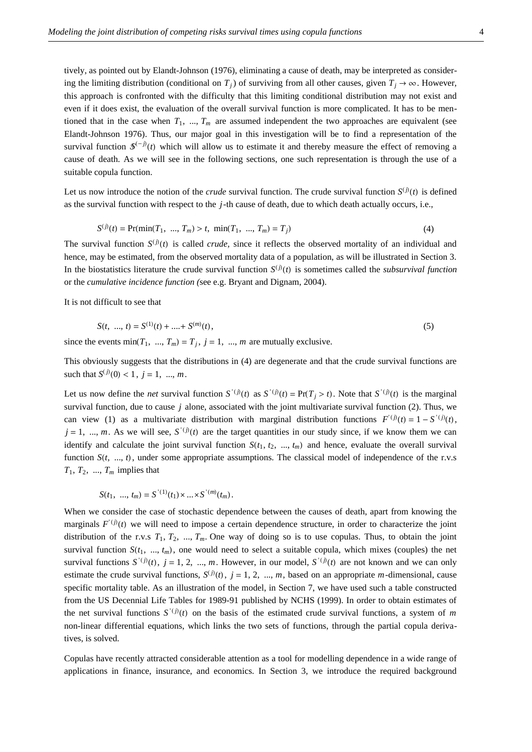tively, as pointed out by Elandt-Johnson (1976), eliminating a cause of death, may be interpreted as considering the limiting distribution (conditional on  $T_j$ ) of surviving from all other causes, given  $T_j \rightarrow \infty$ . However, this approach is confronted with the difficulty that this limiting conditional distribution may not exist and even if it does exist, the evaluation of the overall survival function is more complicated. It has to be mentioned that in the case when  $T_1$ , ...,  $T_m$  are assumed independent the two approaches are equivalent (see Elandt-Johnson 1976). Thus, our major goal in this investigation will be to find a representation of the survival function  $\mathcal{S}^{(-j)}(t)$  which will allow us to estimate it and thereby measure the effect of removing a cause of death. As we will see in the following sections, one such representation is through the use of a suitable copula function.

Let us now introduce the notion of the *crude* survival function. The crude survival function  $S^{(j)}(t)$  is defined as the survival function with respect to the *j*-th cause of death, due to which death actually occurs, i.e.,

$$
S^{(j)}(t) = \Pr(\min(T_1, ..., T_m) > t, \min(T_1, ..., T_m) = T_j)
$$
\n(4)

The survival function  $S^{(j)}(t)$  is called *crude*, since it reflects the observed mortality of an individual and hence, may be estimated, from the observed mortality data of a population, as will be illustrated in Section 3. In the biostatistics literature the crude survival function  $S^{(j)}(t)$  is sometimes called the *subsurvival function* or the *cumulative incidence function (*see e.g. Bryant and Dignam, 2004).

It is not difficult to see that

$$
S(t, ..., t) = S^{(1)}(t) + .... + S^{(m)}(t),
$$
\n(5)

since the events min $(T_1, ..., T_m) = T_j$ ,  $j = 1, ..., m$  are mutually exclusive.

This obviously suggests that the distributions in (4) are degenerate and that the crude survival functions are such that  $S^{(j)}(0) < 1$ ,  $j = 1$ , ..., *m*.

Let us now define the *net* survival function  $S'(i)(t)$  as  $S'(i)(t) = Pr(T_j > t)$ . Note that  $S'(i)(t)$  is the marginal survival function, due to cause *j* alone, associated with the joint multivariate survival function (2). Thus, we can view (1) as a multivariate distribution with marginal distribution functions  $F'(t) = 1 - S'(t)$ ,  $j = 1, ..., m$ . As we will see,  $S'(j)(t)$  are the target quantities in our study since, if we know them we can identify and calculate the joint survival function  $S(t_1, t_2, ..., t_m)$  and hence, evaluate the overall survival function  $S(t, ..., t)$ , under some appropriate assumptions. The classical model of independence of the r.v.s  $T_1, T_2, ..., T_m$  implies that

$$
S(t_1, ..., t_m) = S^{(1)}(t_1) \times ... \times S^{(m)}(t_m).
$$

When we consider the case of stochastic dependence between the causes of death, apart from knowing the marginals  $F^{(j)}(t)$  we will need to impose a certain dependence structure, in order to characterize the joint distribution of the r.v.s  $T_1, T_2, ..., T_m$ . One way of doing so is to use copulas. Thus, to obtain the joint survival function  $S(t_1, ..., t_m)$ , one would need to select a suitable copula, which mixes (couples) the net survival functions  $S^{(j)}(t)$ ,  $j = 1, 2, ..., m$ . However, in our model,  $S^{(j)}(t)$  are not known and we can only estimate the crude survival functions,  $S^{(j)}(t)$ ,  $j = 1, 2, ..., m$ , based on an appropriate *m*-dimensional, cause specific mortality table. As an illustration of the model, in Section 7, we have used such a table constructed from the US Decennial Life Tables for 1989-91 published by NCHS (1999). In order to obtain estimates of the net survival functions  $S^{(i)}(t)$  on the basis of the estimated crude survival functions, a system of *m* non-linear differential equations, which links the two sets of functions, through the partial copula derivatives, is solved.

Copulas have recently attracted considerable attention as a tool for modelling dependence in a wide range of applications in finance, insurance, and economics. In Section 3, we introduce the required background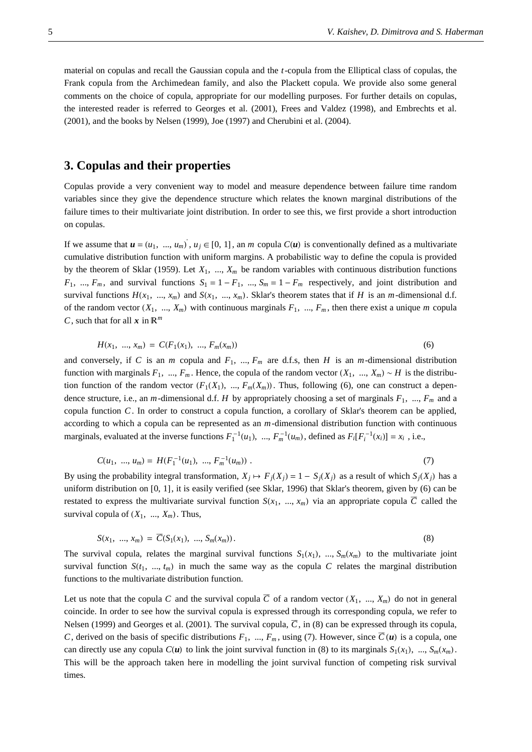material on copulas and recall the Gaussian copula and the *t*-copula from the Elliptical class of copulas, the Frank copula from the Archimedean family, and also the Plackett copula. We provide also some general comments on the choice of copula, appropriate for our modelling purposes. For further details on copulas, the interested reader is referred to Georges et al. (2001), Frees and Valdez (1998), and Embrechts et al. (2001), and the books by Nelsen (1999), Joe (1997) and Cherubini et al. (2004).

#### **3. Copulas and their properties**

Copulas provide a very convenient way to model and measure dependence between failure time random variables since they give the dependence structure which relates the known marginal distributions of the failure times to their multivariate joint distribution. In order to see this, we first provide a short introduction on copulas.

If we assume that  $u = (u_1, ..., u_m)$ ,  $u_j \in [0, 1]$ , an *m* copula  $C(u)$  is conventionally defined as a multivariate cumulative distribution function with uniform margins. A probabilistic way to define the copula is provided by the theorem of Sklar (1959). Let  $X_1$ , ...,  $X_m$  be random variables with continuous distribution functions  $F_1$ , ...,  $F_m$ , and survival functions  $S_1 = 1 - F_1$ , ...,  $S_m = 1 - F_m$  respectively, and joint distribution and survival functions  $H(x_1, ..., x_m)$  and  $S(x_1, ..., x_m)$ . Sklar's theorem states that if *H* is an *m*-dimensional d.f. of the random vector  $(X_1, ..., X_m)$  with continuous marginals  $F_1, ..., F_m$ , then there exist a unique *m* copular *C*, such that for all  $x$  in  $\mathbb{R}^m$ 

$$
H(x_1, ..., x_m) = C(F_1(x_1), ..., F_m(x_m))
$$
\n(6)

and conversely, if *C* is an *m* copula and  $F_1$ , ...,  $F_m$  are d.f.s, then *H* is an *m*-dimensional distribution function with marginals  $F_1$ , ...,  $F_m$ . Hence, the copula of the random vector  $(X_1, ..., X_m) \sim H$  is the distribution function of the random vector  $(F_1(X_1), ..., F_m(X_m))$ . Thus, following (6), one can construct a dependence structure, i.e., an *m*-dimensional d.f. *H* by appropriately choosing a set of marginals  $F_1$ , ...,  $F_m$  and a copula function *C*. In order to construct a copula function, a corollary of Sklar's theorem can be applied, according to which a copula can be represented as an *m*-dimensional distribution function with continuous marginals, evaluated at the inverse functions  $F_1^{-1}(u_1)$ , ...,  $F_m^{-1}(u_m)$ , defined as  $F_i[F_i^{-1}(x_i)] = x_i$ , i.e.,

$$
C(u_1, ..., u_m) = H(F_1^{-1}(u_1), ..., F_m^{-1}(u_m)).
$$
\n<sup>(7)</sup>

By using the probability integral transformation,  $X_i \mapsto F_i(X_i) = 1 - S_i(X_i)$  as a result of which  $S_i(X_i)$  has a uniform distribution on  $[0, 1]$ , it is easily verified (see Sklar, 1996) that Sklar's theorem, given by (6) can be restated to express the multivariate survival function  $S(x_1, ..., x_m)$  via an appropriate copula  $\overline{C}$  called the survival copula of  $(X_1, ..., X_m)$ . Thus,

$$
S(x_1, ..., x_m) = \overline{C}(S_1(x_1), ..., S_m(x_m)).
$$
\n(8)

The survival copula, relates the marginal survival functions  $S_1(x_1)$ , ...,  $S_m(x_m)$  to the multivariate joint survival function  $S(t_1, ..., t_m)$  in much the same way as the copula C relates the marginal distribution functions to the multivariate distribution function.

Let us note that the copula *C* and the survival copula  $\overline{C}$  of a random vector  $(X_1, ..., X_m)$  do not in general coincide. In order to see how the survival copula is expressed through its corresponding copula, we refer to Nelsen (1999) and Georges et al. (2001). The survival copula,  $\overline{C}$ , in (8) can be expressed through its copula, *C*, derived on the basis of specific distributions  $F_1$ , ...,  $F_m$ , using (7). However, since  $\overline{C}(u)$  is a copula, one can directly use any copula  $C(u)$  to link the joint survival function in (8) to its marginals  $S_1(x_1), ..., S_m(x_m)$ . This will be the approach taken here in modelling the joint survival function of competing risk survival times.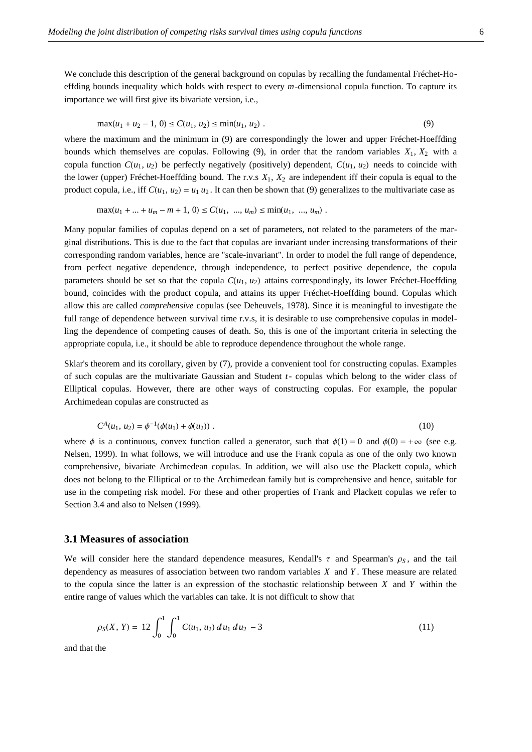We conclude this description of the general background on copulas by recalling the fundamental Fréchet-Hoeffding bounds inequality which holds with respect to every *m*-dimensional copula function. To capture its importance we will first give its bivariate version, i.e.,

$$
\max(u_1 + u_2 - 1, 0) \le C(u_1, u_2) \le \min(u_1, u_2).
$$
\n(9)

where the maximum and the minimum in (9) are correspondingly the lower and upper Fréchet-Hoeffding bounds which themselves are copulas. Following (9), in order that the random variables  $X_1, X_2$  with a copula function  $C(u_1, u_2)$  be perfectly negatively (positively) dependent,  $C(u_1, u_2)$  needs to coincide with the lower (upper) Fréchet-Hoeffding bound. The r.v.s *X*1, *X*2 are independent iff their copula is equal to the product copula, i.e., iff  $C(u_1, u_2) = u_1 u_2$ . It can then be shown that (9) generalizes to the multivariate case as

$$
\max(u_1 + \dots + u_m - m + 1, 0) \le C(u_1, \dots, u_m) \le \min(u_1, \dots, u_m) .
$$

Many popular families of copulas depend on a set of parameters, not related to the parameters of the marginal distributions. This is due to the fact that copulas are invariant under increasing transformations of their corresponding random variables, hence are "scale-invariant". In order to model the full range of dependence, from perfect negative dependence, through independence, to perfect positive dependence, the copula parameters should be set so that the copula  $C(u_1, u_2)$  attains correspondingly, its lower Fréchet-Hoeffding bound, coincides with the product copula, and attains its upper Fréchet-Hoeffding bound. Copulas which allow this are called *comprehensive* copulas (see Deheuvels, 1978). Since it is meaningful to investigate the full range of dependence between survival time r.v.s, it is desirable to use comprehensive copulas in modelling the dependence of competing causes of death. So, this is one of the important criteria in selecting the appropriate copula, i.e., it should be able to reproduce dependence throughout the whole range.

Sklar's theorem and its corollary, given by (7), provide a convenient tool for constructing copulas. Examples of such copulas are the multivariate Gaussian and Student *t*- copulas which belong to the wider class of Elliptical copulas. However, there are other ways of constructing copulas. For example, the popular Archimedean copulas are constructed as

$$
C^{A}(u_1, u_2) = \phi^{-1}(\phi(u_1) + \phi(u_2)) \tag{10}
$$

where  $\phi$  is a continuous, convex function called a generator, such that  $\phi(1) = 0$  and  $\phi(0) = +\infty$  (see e.g. Nelsen, 1999). In what follows, we will introduce and use the Frank copula as one of the only two known comprehensive, bivariate Archimedean copulas. In addition, we will also use the Plackett copula, which does not belong to the Elliptical or to the Archimedean family but is comprehensive and hence, suitable for use in the competing risk model. For these and other properties of Frank and Plackett copulas we refer to Section 3.4 and also to Nelsen (1999).

#### **3.1 Measures of association**

We will consider here the standard dependence measures, Kendall's  $\tau$  and Spearman's  $\rho_s$ , and the tail dependency as measures of association between two random variables *X* and *Y* . These measure are related to the copula since the latter is an expression of the stochastic relationship between *X* and *Y* within the entire range of values which the variables can take. It is not difficult to show that

$$
\rho_S(X, Y) = 12 \int_0^1 \int_0^1 C(u_1, u_2) du_1 du_2 - 3 \tag{11}
$$

and that the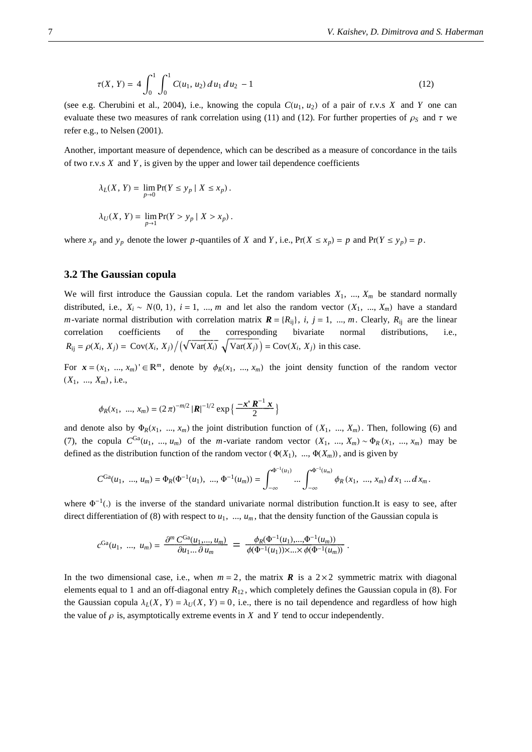$$
\tau(X, Y) = 4 \int_0^1 \int_0^1 C(u_1, u_2) du_1 du_2 - 1 \tag{12}
$$

(see e.g. Cherubini et al., 2004), i.e., knowing the copula  $C(u_1, u_2)$  of a pair of r.v.s *X* and *Y* one can evaluate these two measures of rank correlation using (11) and (12). For further properties of  $\rho_s$  and  $\tau$  we refer e.g., to Nelsen (2001).

Another, important measure of dependence, which can be described as a measure of concordance in the tails of two r.v.s *X* and *Y* , is given by the upper and lower tail dependence coefficients

$$
\lambda_L(X, Y) = \lim_{p \to 0} \Pr(Y \le y_p \mid X \le x_p).
$$
  

$$
\lambda_U(X, Y) = \lim_{p \to 1} \Pr(Y > y_p \mid X > x_p).
$$

where  $x_p$  and  $y_p$  denote the lower *p*-quantiles of *X* and *Y*, i.e.,  $Pr(X \le x_p) = p$  and  $Pr(Y \le y_p) = p$ .

#### **3.2 The Gaussian copula**

We will first introduce the Gaussian copula. Let the random variables  $X_1, \ldots, X_m$  be standard normally distributed, i.e.,  $X_i \sim N(0, 1)$ ,  $i = 1, ..., m$  and let also the random vector  $(X_1, ..., X_m)$  have a standard *m*-variate normal distribution with correlation matrix  $\mathbf{R} = \{R_{ij}\}\$ , *i*, *j* = 1, ..., *m*. Clearly,  $R_{ij}$  are the linear correlation coefficients of the corresponding bivariate normal distributions, i.e., of the corresponding bivariate normal distributions, i.e.,  $R_{ij} = \rho(X_i, X_j) = \text{Cov}(X_i, X_j) / (\sqrt{\text{Var}(X_i)} \sqrt{\text{Var}(X_j)}) = \text{Cov}(X_i, X_j)$  in this case.

For  $\mathbf{x} = (x_1, ..., x_m) \in \mathbb{R}^m$ , denote by  $\phi_R(x_1, ..., x_m)$  the joint density function of the random vector  $(X_1, ..., X_m)$ , i.e.,

$$
\phi_R(x_1, ..., x_m) = (2\pi)^{-m/2} |\mathbf{R}|^{-1/2} \exp\left\{\frac{-\mathbf{x}^{\mathsf{T}} \mathbf{R}^{-1} \mathbf{x}}{2}\right\}
$$

and denote also by  $\Phi_R(x_1, ..., x_m)$  the joint distribution function of  $(X_1, ..., X_m)$ . Then, following (6) and (7), the copula  $C^{Ga}(u_1, ..., u_m)$  of the *m*-variate random vector  $(X_1, ..., X_m) \sim \Phi_R(x_1, ..., x_m)$  may be defined as the distribution function of the random vector  $(\Phi(X_1), ..., \Phi(X_m))$ , and is given by

$$
C^{Ga}(u_1, ..., u_m) = \Phi_R(\Phi^{-1}(u_1), ..., \Phi^{-1}(u_m)) = \int_{-\infty}^{\Phi^{-1}(u_1)} ... \int_{-\infty}^{\Phi^{-1}(u_m)} \phi_R(x_1, ..., x_m) dx_1 ... dx_m.
$$

where  $\Phi^{-1}$ . is the inverse of the standard univariate normal distribution function.It is easy to see, after direct differentiation of (8) with respect to  $u_1, ..., u_m$ , that the density function of the Gaussian copula is

$$
c^{\text{Ga}}(u_1, ..., u_m) = \frac{\partial^m C^{\text{Ga}}(u_1, ..., u_m)}{\partial u_1 ... \partial u_m} = \frac{\phi_R(\Phi^{-1}(u_1), ..., \Phi^{-1}(u_m))}{\phi(\Phi^{-1}(u_1)) \times ... \times \phi(\Phi^{-1}(u_m))}.
$$

In the two dimensional case, i.e., when  $m = 2$ , the matrix *R* is a  $2 \times 2$  symmetric matrix with diagonal elements equal to 1 and an off-diagonal entry *R*<sup>12</sup> , which completely defines the Gaussian copula in (8). For the Gaussian copula  $\lambda_L(X, Y) = \lambda_U(X, Y) = 0$ , i.e., there is no tail dependence and regardless of how high the value of  $\rho$  is, asymptotically extreme events in *X* and *Y* tend to occur independently.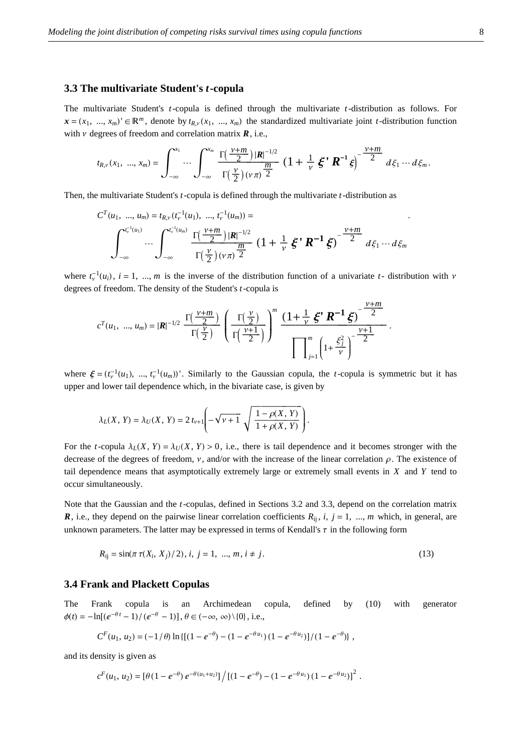#### **3.3 The multivariate Student's** *t***-copula**

The multivariate Student's *t*-copula is defined through the multivariate *t*-distribution as follows. For  $\mathbf{x} = (x_1, ..., x_m) \in \mathbb{R}^m$ , denote by  $t_{R,\nu}(x_1, ..., x_m)$  the standardized multivariate joint *t*-distribution function with  $\nu$  degrees of freedom and correlation matrix  $\vec{R}$ , i.e.,

$$
t_{R,v}(x_1, ..., x_m) = \int_{-\infty}^{x_1} \cdots \int_{-\infty}^{x_m} \frac{\Gamma(\frac{\nu+m}{2}) |R|^{-1/2}}{\Gamma(\frac{\nu}{2})(\nu \pi)^{\frac{m}{2}}} \left(1 + \frac{1}{\nu} \, \xi^{\bullet} R^{-1} \xi\right)^{-\frac{\nu+m}{2}} d\xi_1 \cdots d\xi_m.
$$

Then, the multivariate Student's *t*-copula is defined through the multivariate *t*-distribution as

$$
C^{T}(u_{1}, ..., u_{m}) = t_{R,v} (t_{v}^{-1}(u_{1}), ..., t_{v}^{-1}(u_{m})) =
$$
\n
$$
\int_{-\infty}^{t_{v}^{-1}(u_{1})} \cdots \int_{-\infty}^{t_{v}^{-1}(u_{m})} \frac{\Gamma(\frac{\nu+m}{2}) |R|^{-1/2}}{\Gamma(\frac{\nu}{2}) (\nu \pi)^{\frac{m}{2}}} (1 + \frac{1}{\nu} \xi^{\nu} R^{-1} \xi)^{-\frac{\nu+m}{2}} d\xi_{1} \cdots d\xi_{m}
$$

where  $t_v^{-1}(u_i)$ ,  $i = 1, ..., m$  is the inverse of the distribution function of a univariate  $t$ - distribution with  $\nu$ degrees of freedom. The density of the Student's *t*-copula is

$$
c^{T}(u_{1}, ..., u_{m}) = |R|^{-1/2} \frac{\Gamma(\frac{\nu+m}{2})}{\Gamma(\frac{\nu}{2})} \left(\frac{\Gamma(\frac{\nu}{2})}{\Gamma(\frac{\nu+1}{2})}\right)^{m} \frac{\left(1 + \frac{1}{\nu} \xi^{\prime} R^{-1} \xi\right)^{-\frac{\nu+m}{2}}}{\prod_{j=1}^{m} \left(1 + \frac{\xi_{j}^{2}}{\nu}\right)^{-\frac{\nu+1}{2}}}.
$$

where  $\xi = (t_v^{-1}(u_1), ..., t_v^{-1}(u_m))'$ . Similarly to the Gaussian copula, the *t*-copula is symmetric but it has upper and lower tail dependence which, in the bivariate case, is given by

$$
\lambda_L(X, Y) = \lambda_U(X, Y) = 2 t_{\nu+1} \left( -\sqrt{\nu+1} \sqrt{\frac{1 - \rho(X, Y)}{1 + \rho(X, Y)}} \right).
$$

For the *t*-copula  $\lambda_L(X, Y) = \lambda_U(X, Y) > 0$ , i.e., there is tail dependence and it becomes stronger with the decrease of the degrees of freedom,  $\nu$ , and/or with the increase of the linear correlation  $\rho$ . The existence of tail dependence means that asymptotically extremely large or extremely small events in *X* and *Y* tend to occur simultaneously.

Note that the Gaussian and the *t*-copulas, defined in Sections 3.2 and 3.3, depend on the correlation matrix *R*, i.e., they depend on the pairwise linear correlation coefficients  $R_{ii}$ ,  $i$ ,  $j = 1$ , ..., *m* which, in general, are unknown parameters. The latter may be expressed in terms of Kendall's  $\tau$  in the following form

$$
R_{ij} = \sin(\pi \tau (X_i, X_j)/2), i, j = 1, ..., m, i \neq j.
$$
\n(13)

#### **3.4 Frank and Plackett Copulas**

The Frank copula is an Archimedean copula, defined by (10) with generator  $\phi(t) = -\ln[(e^{-\theta t} - 1)/(e^{-\theta} - 1)], \theta \in (-\infty, \infty) \setminus \{0\}, \text{ i.e., }$ 

$$
C^{F}(u_1, u_2) = (-1/\theta) \ln \{[(1 - e^{-\theta}) - (1 - e^{-\theta u_1})(1 - e^{-\theta u_2})]/(1 - e^{-\theta})\},
$$

and its density is given as

$$
c^F(u_1, u_2) = \left[\theta(1-e^{-\theta})\,e^{-\theta(u_1+u_2)}\right] \big/ \left[(1-e^{-\theta})-(1-e^{-\theta u_1})\,(1-e^{-\theta u_2})\right]^2\,.
$$

.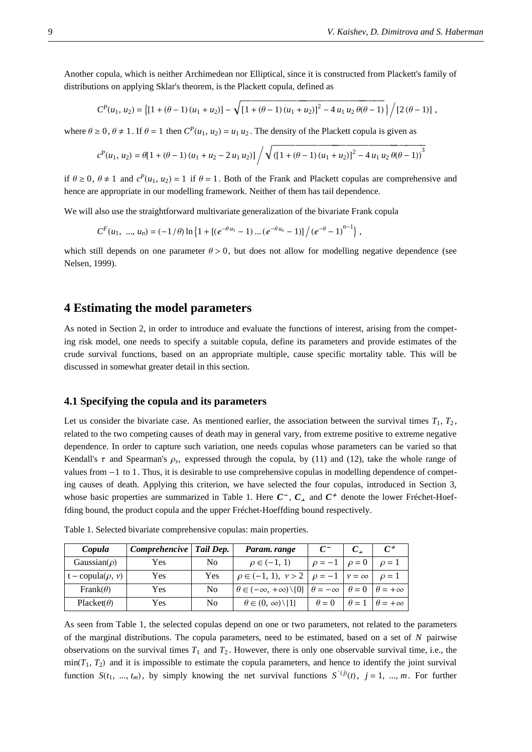Another copula, which is neither Archimedean nor Elliptical, since it is constructed from Plackett's family of distributions on applying Sklar's theorem, is the Plackett copula, defined as

$$
C^{P}(u_1, u_2) = \left\{ [1 + (\theta - 1) (u_1 + u_2)] - \sqrt{[1 + (\theta - 1) (u_1 + u_2)]^2 - 4 u_1 u_2 \theta(\theta - 1)} \right\} / [2 (\theta - 1)],
$$

where  $\theta \ge 0$ ,  $\theta \ne 1$ . If  $\theta = 1$  then  $C^P(u_1, u_2) = u_1 u_2$ . The density of the Plackett copula is given as

$$
c^{P}(u_1, u_2) = \theta[1 + (\theta - 1) (u_1 + u_2 - 2 u_1 u_2)] \bigg/ \sqrt{([1 + (\theta - 1) (u_1 + u_2)]^2 - 4 u_1 u_2 \theta (\theta - 1))^3}
$$

if  $\theta \ge 0$ ,  $\theta \ne 1$  and  $c^P(u_1, u_2) = 1$  if  $\theta = 1$ . Both of the Frank and Plackett copulas are comprehensive and hence are appropriate in our modelling framework. Neither of them has tail dependence.

We will also use the straightforward multivariate generalization of the bivariate Frank copula

$$
C^{F}(u_{1}, ..., u_{n}) = (-1/\theta) \ln \left\{ 1 + \left[ (e^{-\theta u_{1}} - 1) ... (e^{-\theta u_{n}} - 1) \right] / (e^{-\theta} - 1)^{n-1} \right\},
$$

which still depends on one parameter  $\theta > 0$ , but does not allow for modelling negative dependence (see Nelsen, 1999).

#### **4 Estimating the model parameters**

As noted in Section 2, in order to introduce and evaluate the functions of interest, arising from the competing risk model, one needs to specify a suitable copula, define its parameters and provide estimates of the crude survival functions, based on an appropriate multiple, cause specific mortality table. This will be discussed in somewhat greater detail in this section.

#### **4.1 Specifying the copula and its parameters**

Let us consider the bivariate case. As mentioned earlier, the association between the survival times  $T_1$ ,  $T_2$ , related to the two competing causes of death may in general vary, from extreme positive to extreme negative dependence. In order to capture such variation, one needs copulas whose parameters can be varied so that Kendall's  $\tau$  and Spearman's  $\rho_s$ , expressed through the copula, by (11) and (12), take the whole range of values from  $-1$  to 1. Thus, it is desirable to use comprehensive copulas in modelling dependence of competing causes of death. Applying this criterion, we have selected the four copulas, introduced in Section 3, whose basic properties are summarized in Table 1. Here  $C^-$ ,  $C_{\perp}$  and  $C^+$  denote the lower Fréchet-Hoeffding bound, the product copula and the upper Fréchet-Hoeffding bound respectively.

| Copula                     | Comprehencive | Tail Dep. | Param. range                                                                                       | $C^-$        |            | $C^+$              |
|----------------------------|---------------|-----------|----------------------------------------------------------------------------------------------------|--------------|------------|--------------------|
| Gaussian( $\rho$ )         | Yes           | No        | $\rho \in (-1, 1)$                                                                                 | $\rho = -1$  | $\rho = 0$ | $\rho = 1$         |
| $t$ – copula $(\rho, \nu)$ | Yes           | Yes       | $\rho \in (-1, 1), \nu > 2   \rho = -1   \nu = \infty$                                             |              |            | $\rho = 1$         |
| Frank $(\theta)$           | Yes           | No        | $\theta \in (-\infty, +\infty) \setminus \{0\}$ $\theta = -\infty$ $\theta = 0$ $\theta = +\infty$ |              |            |                    |
| Placket( $\theta$ )        | Yes           | No        | $\theta \in (0, \infty) \setminus \{1\}$                                                           | $\theta = 0$ |            | $\theta = +\infty$ |

Table 1. Selected bivariate comprehensive copulas: main properties.

As seen from Table 1, the selected copulas depend on one or two parameters, not related to the parameters of the marginal distributions. The copula parameters, need to be estimated, based on a set of *N* pairwise observations on the survival times  $T_1$  and  $T_2$ . However, there is only one observable survival time, i.e., the  $min(T_1, T_2)$  and it is impossible to estimate the copula parameters, and hence to identify the joint survival function  $S(t_1, ..., t_m)$ , by simply knowing the net survival functions  $S'(t)$ ,  $j = 1, ..., m$ . For further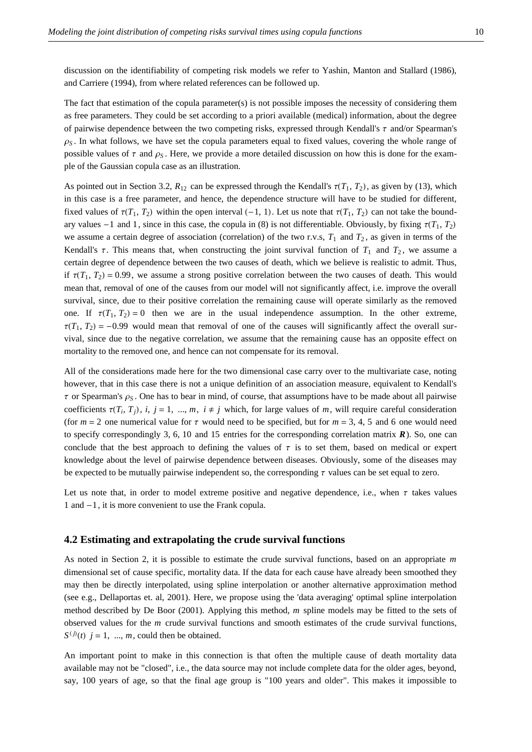discussion on the identifiability of competing risk models we refer to Yashin, Manton and Stallard (1986), and Carriere (1994), from where related references can be followed up.

The fact that estimation of the copula parameter(s) is not possible imposes the necessity of considering them as free parameters. They could be set according to a priori available (medical) information, about the degree of pairwise dependence between the two competing risks, expressed through Kendall's  $\tau$  and/or Spearman's  $\rho_S$ . In what follows, we have set the copula parameters equal to fixed values, covering the whole range of possible values of  $\tau$  and  $\rho_S$ . Here, we provide a more detailed discussion on how this is done for the example of the Gaussian copula case as an illustration.

As pointed out in Section 3.2,  $R_{12}$  can be expressed through the Kendall's  $\tau(T_1, T_2)$ , as given by (13), which in this case is a free parameter, and hence, the dependence structure will have to be studied for different, fixed values of  $\tau(T_1, T_2)$  within the open interval  $(-1, 1)$ . Let us note that  $\tau(T_1, T_2)$  can not take the boundary values  $-1$  and 1, since in this case, the copula in (8) is not differentiable. Obviously, by fixing  $\tau(T_1, T_2)$ we assume a certain degree of association (correlation) of the two r.v.s,  $T_1$  and  $T_2$ , as given in terms of the Kendall's  $\tau$ . This means that, when constructing the joint survival function of  $T_1$  and  $T_2$ , we assume a certain degree of dependence between the two causes of death, which we believe is realistic to admit. Thus, if  $\tau(T_1, T_2) = 0.99$ , we assume a strong positive correlation between the two causes of death. This would mean that, removal of one of the causes from our model will not significantly affect, i.e. improve the overall survival, since, due to their positive correlation the remaining cause will operate similarly as the removed one. If  $\tau(T_1, T_2) = 0$  then we are in the usual independence assumption. In the other extreme,  $\tau(T_1, T_2) = -0.99$  would mean that removal of one of the causes will significantly affect the overall survival, since due to the negative correlation, we assume that the remaining cause has an opposite effect on mortality to the removed one, and hence can not compensate for its removal.

All of the considerations made here for the two dimensional case carry over to the multivariate case, noting however, that in this case there is not a unique definition of an association measure, equivalent to Kendall's  $\tau$  or Spearman's  $\rho_S$ . One has to bear in mind, of course, that assumptions have to be made about all pairwise coefficients  $\tau(T_i, T_j)$ , *i*, *j* = 1, ..., *m*, *i*  $\neq$  *j* which, for large values of *m*, will require careful consideration (for  $m = 2$  one numerical value for  $\tau$  would need to be specified, but for  $m = 3, 4, 5$  and 6 one would need to specify correspondingly 3, 6, 10 and 15 entries for the corresponding correlation matrix *R*). So, one can conclude that the best approach to defining the values of  $\tau$  is to set them, based on medical or expert knowledge about the level of pairwise dependence between diseases. Obviously, some of the diseases may be expected to be mutually pairwise independent so, the corresponding  $\tau$  values can be set equal to zero.

Let us note that, in order to model extreme positive and negative dependence, i.e., when  $\tau$  takes values 1 and -1, it is more convenient to use the Frank copula.

#### **4.2 Estimating and extrapolating the crude survival functions**

As noted in Section 2, it is possible to estimate the crude survival functions, based on an appropriate *m* dimensional set of cause specific, mortality data. If the data for each cause have already been smoothed they may then be directly interpolated, using spline interpolation or another alternative approximation method (see e.g., Dellaportas et. al, 2001). Here, we propose using the 'data averaging' optimal spline interpolation method described by De Boor (2001). Applying this method, *m* spline models may be fitted to the sets of observed values for the *m* crude survival functions and smooth estimates of the crude survival functions,  $S^{(j)}(t)$  *j* = 1, ..., *m*, could then be obtained.

An important point to make in this connection is that often the multiple cause of death mortality data available may not be "closed", i.e., the data source may not include complete data for the older ages, beyond, say, 100 years of age, so that the final age group is "100 years and older". This makes it impossible to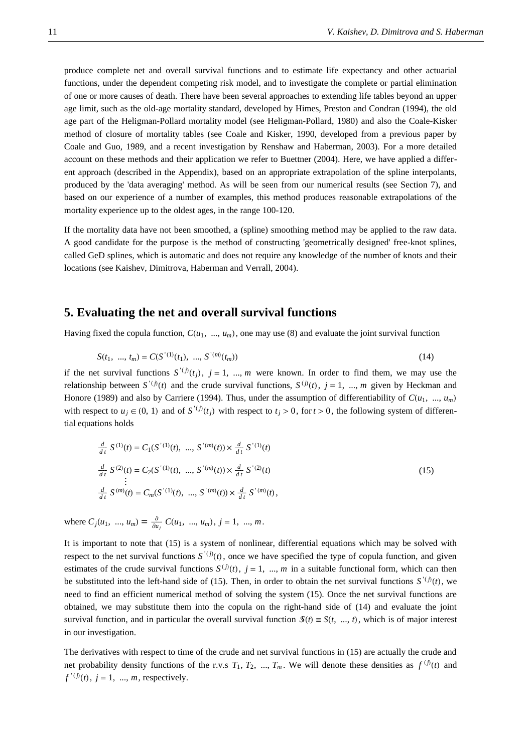produce complete net and overall survival functions and to estimate life expectancy and other actuarial functions, under the dependent competing risk model, and to investigate the complete or partial elimination of one or more causes of death. There have been several approaches to extending life tables beyond an upper age limit, such as the old-age mortality standard, developed by Himes, Preston and Condran (1994), the old age part of the Heligman-Pollard mortality model (see Heligman-Pollard, 1980) and also the Coale-Kisker method of closure of mortality tables (see Coale and Kisker, 1990, developed from a previous paper by Coale and Guo, 1989, and a recent investigation by Renshaw and Haberman, 2003). For a more detailed account on these methods and their application we refer to Buettner (2004). Here, we have applied a different approach (described in the Appendix), based on an appropriate extrapolation of the spline interpolants, produced by the 'data averaging' method. As will be seen from our numerical results (see Section 7), and based on our experience of a number of examples, this method produces reasonable extrapolations of the mortality experience up to the oldest ages, in the range 100-120.

If the mortality data have not been smoothed, a (spline) smoothing method may be applied to the raw data. A good candidate for the purpose is the method of constructing 'geometrically designed' free-knot splines, called GeD splines, which is automatic and does not require any knowledge of the number of knots and their locations (see Kaishev, Dimitrova, Haberman and Verrall, 2004).

#### **5. Evaluating the net and overall survival functions**

Having fixed the copula function,  $C(u_1, ..., u_m)$ , one may use (8) and evaluate the joint survival function

$$
S(t_1, ..., t_m) = C(S'(1)(t_1), ..., S'(m)(t_m))
$$
\n(14)

if the net survival functions  $S^{(j)}(t_j)$ ,  $j = 1, ..., m$  were known. In order to find them, we may use the relationship between  $S^{(j)}(t)$  and the crude survival functions,  $S^{(j)}(t)$ ,  $j = 1, ..., m$  given by Heckman and Honore (1989) and also by Carriere (1994). Thus, under the assumption of differentiability of  $C(u_1, ..., u_m)$ with respect to  $u_j \in (0, 1)$  and of  $S'(i)(t_j)$  with respect to  $t_j > 0$ , for  $t > 0$ , the following system of differential equations holds

$$
\frac{d}{dt} S^{(1)}(t) = C_1(S^{(1)}(t), ..., S^{(m)}(t)) \times \frac{d}{dt} S^{(1)}(t)
$$
\n
$$
\frac{d}{dt} S^{(2)}(t) = C_2(S^{(1)}(t), ..., S^{(m)}(t)) \times \frac{d}{dt} S^{(2)}(t)
$$
\n
$$
\vdots
$$
\n
$$
\frac{d}{dt} S^{(m)}(t) = C_m(S^{(1)}(t), ..., S^{(m)}(t)) \times \frac{d}{dt} S^{(m)}(t),
$$
\n(15)

where  $C_j(u_1, ..., u_m) = \frac{\partial}{\partial u_j} C(u_1, ..., u_m), j = 1, ..., m$ .

It is important to note that (15) is a system of nonlinear, differential equations which may be solved with respect to the net survival functions  $S^{(j)}(t)$ , once we have specified the type of copula function, and given estimates of the crude survival functions  $S^{(j)}(t)$ ,  $j = 1, ..., m$  in a suitable functional form, which can then be substituted into the left-hand side of (15). Then, in order to obtain the net survival functions  $S'(i)(t)$ , we need to find an efficient numerical method of solving the system (15). Once the net survival functions are obtained, we may substitute them into the copula on the right-hand side of (14) and evaluate the joint survival function, and in particular the overall survival function  $\mathcal{S}(t) \equiv S(t, ..., t)$ , which is of major interest in our investigation.

The derivatives with respect to time of the crude and net survival functions in (15) are actually the crude and net probability density functions of the r.v.s  $T_1$ ,  $T_2$ , ...,  $T_m$ . We will denote these densities as  $f^{(j)}(t)$  and  $f'(j)(t)$ ,  $j = 1, ..., m$ , respectively.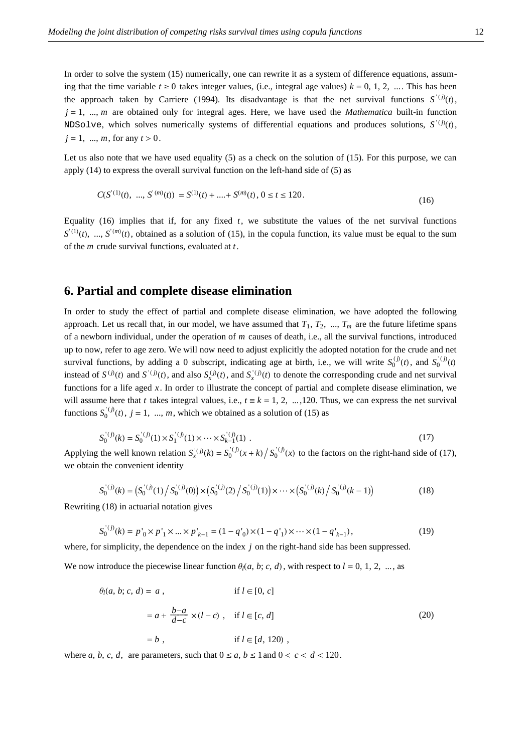In order to solve the system (15) numerically, one can rewrite it as a system of difference equations, assuming that the time variable  $t \ge 0$  takes integer values, (i.e., integral age values)  $k = 0, 1, 2, ...$  This has been the approach taken by Carriere (1994). Its disadvantage is that the net survival functions  $S^{(i)}(t)$ ,  $j = 1, ..., m$  are obtained only for integral ages. Here, we have used the *Mathematica* built-in function NDSolve, which solves numerically systems of differential equations and produces solutions,  $S^{(j)}(t)$ ,  $j = 1, ..., m$ , for any  $t > 0$ .

Let us also note that we have used equality (5) as a check on the solution of (15). For this purpose, we can apply (14) to express the overall survival function on the left-hand side of (5) as

$$
C(S^{(1)}(t), ..., S^{(m)}(t)) = S^{(1)}(t) + .... + S^{(m)}(t), 0 \le t \le 120.
$$
\n
$$
(16)
$$

Equality (16) implies that if, for any fixed *t*, we substitute the values of the net survival functions  $S^{(1)}(t)$ , ...,  $S^{(m)}(t)$ , obtained as a solution of (15), in the copula function, its value must be equal to the sum of the *m* crude survival functions, evaluated at *t*.

#### **6. Partial and complete disease elimination**

In order to study the effect of partial and complete disease elimination, we have adopted the following approach. Let us recall that, in our model, we have assumed that  $T_1, T_2, ..., T_m$  are the future lifetime spans of a newborn individual, under the operation of *m* causes of death, i.e., all the survival functions, introduced up to now, refer to age zero. We will now need to adjust explicitly the adopted notation for the crude and net survival functions, by adding a 0 subscript, indicating age at birth, i.e., we will write  $S_0^{(j)}(t)$ , and  $S_0^{(j)}(t)$ instead of  $S^{(j)}(t)$  and  $S^{(j)}(t)$ , and also  $S^{(j)}_x(t)$ , and  $S^{(j)}_x(t)$  to denote the corresponding crude and net survival functions for a life aged *x*. In order to illustrate the concept of partial and complete disease elimination, we will assume here that *t* takes integral values, i.e.,  $t \equiv k = 1, 2, ..., 120$ . Thus, we can express the net survival functions  $S_0^{(j)}(t)$ ,  $j = 1, ..., m$ , which we obtained as a solution of (15) as

$$
S_0^{(j)}(k) = S_0^{(j)}(1) \times S_1^{(j)}(1) \times \dots \times S_{k-1}^{(j)}(1) .
$$
 (17)

Applying the well known relation  $S_x^{(j)}(k) = S_0^{(j)}(x+k) / S_0^{(j)}(x)$  to the factors on the right-hand side of (17), we obtain the convenient identity

$$
S_0^{(j)}(k) = (S_0^{(j)}(1) / S_0^{(j)}(0)) \times (S_0^{(j)}(2) / S_0^{(j)}(1)) \times \cdots \times (S_0^{(j)}(k) / S_0^{(j)}(k-1))
$$
(18)

Rewriting (18) in actuarial notation gives

$$
S_0^{(j)}(k) = p'_0 \times p'_1 \times \dots \times p'_{k-1} = (1 - q'_0) \times (1 - q'_1) \times \dots \times (1 - q'_{k-1}),
$$
\n(19)

where, for simplicity, the dependence on the index *j* on the right-hand side has been suppressed.

We now introduce the piecewise linear function  $\theta_l(a, b; c, d)$ , with respect to  $l = 0, 1, 2, ...$ , as

$$
\theta_l(a, b; c, d) = a , \qquad \text{if } l \in [0, c] \n= a + \frac{b-a}{d-c} \times (l-c) , \quad \text{if } l \in [c, d] \n= b , \qquad \text{if } l \in [d, 120) ,
$$
\n(20)

where *a*, *b*, *c*, *d*, are parameters, such that  $0 \le a, b \le 1$  and  $0 < c < d < 120$ .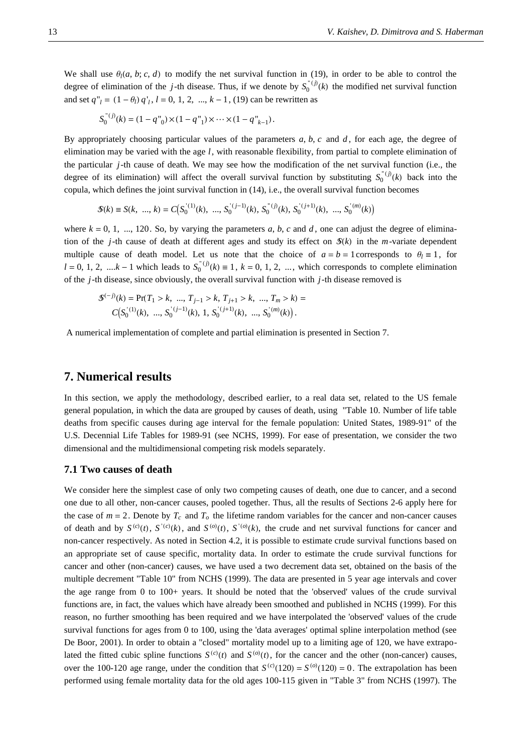We shall use  $\theta_l(a, b; c, d)$  to modify the net survival function in (19), in order to be able to control the degree of elimination of the *j*-th disease. Thus, if we denote by  $S_0^{\text{''}}(i)$  the modified net survival function and set  $q''_l = (1 - \theta_l) q'_l$ ,  $l = 0, 1, 2, ..., k - 1$ , (19) can be rewritten as

$$
S_0^{(n)}(k) = (1 - q_{0}^{(n)}) \times (1 - q_{1}^{(n)}) \times \cdots \times (1 - q_{k-1}^{(n)})
$$

By appropriately choosing particular values of the parameters *a*, *b*, *c* and *d* , for each age, the degree of elimination may be varied with the age *l*, with reasonable flexibility, from partial to complete elimination of the particular *j*-th cause of death. We may see how the modification of the net survival function (i.e., the degree of its elimination) will affect the overall survival function by substituting  $S_0^{(i)}(k)$  back into the copula, which defines the joint survival function in (14), i.e., the overall survival function becomes

$$
\mathcal{S}(k) \equiv S(k, \dots, k) = C(S_0^{(1)}(k), \dots, S_0^{(j-1)}(k), S_0^{(j)}(k), S_0^{(j+1)}(k), \dots, S_0^{(m)}(k))
$$

where  $k = 0, 1, \ldots, 120$ . So, by varying the parameters *a*, *b*, *c* and *d*, one can adjust the degree of elimination of the *j*-th cause of death at different ages and study its effect on  $\mathcal{S}(k)$  in the *m*-variate dependent multiple cause of death model. Let us note that the choice of  $a = b = 1$  corresponds to  $\theta_l \equiv 1$ , for  $l = 0, 1, 2, \dots k - 1$  which leads to  $S_0^{(l)}(k) \equiv 1, k = 0, 1, 2, \dots$ , which corresponds to complete elimination of the *j*-th disease, since obviously, the overall survival function with *j*-th disease removed is

$$
\mathcal{S}^{(-j)}(k) = \Pr(T_1 > k, \dots, T_{j-1} > k, T_{j+1} > k, \dots, T_m > k) =
$$
\n
$$
C\big(S_0^{(1)}(k), \dots, S_0^{(j-1)}(k), 1, S_0^{(j+1)}(k), \dots, S_0^{(m)}(k)\big).
$$

A numerical implementation of complete and partial elimination is presented in Section 7.

#### **7. Numerical results**

In this section, we apply the methodology, described earlier, to a real data set, related to the US female general population, in which the data are grouped by causes of death, using "Table 10. Number of life table deaths from specific causes during age interval for the female population: United States, 1989-91" of the U.S. Decennial Life Tables for 1989-91 (see NCHS, 1999). For ease of presentation, we consider the two dimensional and the multidimensional competing risk models separately.

#### **7.1 Two causes of death**

We consider here the simplest case of only two competing causes of death, one due to cancer, and a second one due to all other, non-cancer causes, pooled together. Thus, all the results of Sections 2-6 apply here for the case of  $m = 2$ . Denote by  $T_c$  and  $T_o$  the lifetime random variables for the cancer and non-cancer causes of death and by  $S^{(c)}(t)$ ,  $S^{(c)}(k)$ , and  $S^{(o)}(t)$ ,  $S^{(o)}(k)$ , the crude and net survival functions for cancer and non-cancer respectively. As noted in Section 4.2, it is possible to estimate crude survival functions based on an appropriate set of cause specific, mortality data. In order to estimate the crude survival functions for cancer and other (non-cancer) causes, we have used a two decrement data set, obtained on the basis of the multiple decrement "Table 10" from NCHS (1999). The data are presented in 5 year age intervals and cover the age range from 0 to 100+ years. It should be noted that the 'observed' values of the crude survival functions are, in fact, the values which have already been smoothed and published in NCHS (1999). For this reason, no further smoothing has been required and we have interpolated the 'observed' values of the crude survival functions for ages from 0 to 100, using the 'data averages' optimal spline interpolation method (see De Boor, 2001). In order to obtain a "closed" mortality model up to a limiting age of 120, we have extrapolated the fitted cubic spline functions  $S^{(c)}(t)$  and  $S^{(o)}(t)$ , for the cancer and the other (non-cancer) causes, over the 100-120 age range, under the condition that  $S^{(c)}(120) = S^{(o)}(120) = 0$ . The extrapolation has been performed using female mortality data for the old ages 100-115 given in "Table 3" from NCHS (1997). The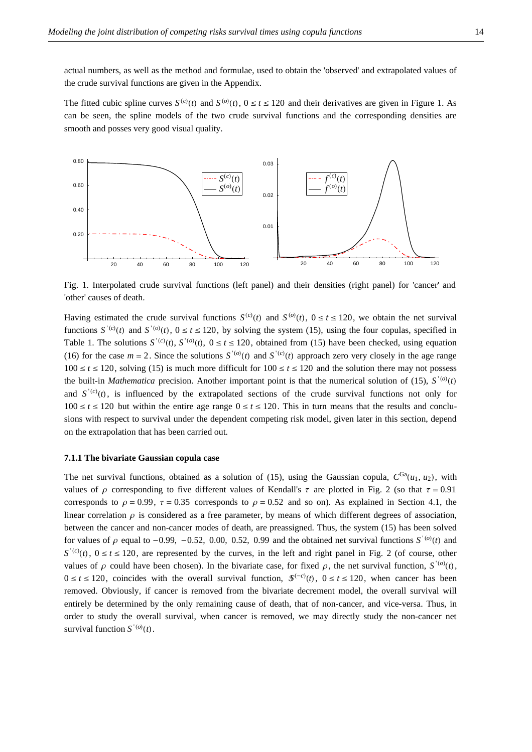actual numbers, as well as the method and formulae, used to obtain the 'observed' and extrapolated values of the crude survival functions are given in the Appendix.

The fitted cubic spline curves  $S^{(c)}(t)$  and  $S^{(o)}(t)$ ,  $0 \le t \le 120$  and their derivatives are given in Figure 1. As can be seen, the spline models of the two crude survival functions and the corresponding densities are smooth and posses very good visual quality.



Fig. 1. Interpolated crude survival functions (left panel) and their densities (right panel) for 'cancer' and 'other' causes of death.

Having estimated the crude survival functions  $S^{(c)}(t)$  and  $S^{(o)}(t)$ ,  $0 \le t \le 120$ , we obtain the net survival functions  $S^{(c)}(t)$  and  $S^{(o)}(t)$ ,  $0 \le t \le 120$ , by solving the system (15), using the four copulas, specified in Table 1. The solutions  $S^{(c)}(t)$ ,  $S^{(o)}(t)$ ,  $0 \le t \le 120$ , obtained from (15) have been checked, using equation (16) for the case  $m = 2$ . Since the solutions  $S^{(o)}(t)$  and  $S^{(c)}(t)$  approach zero very closely in the age range  $100 \le t \le 120$ , solving (15) is much more difficult for  $100 \le t \le 120$  and the solution there may not possess the built-in *Mathematica* precision. Another important point is that the numerical solution of (15),  $S'^{(o)}(t)$ and  $S^{(c)}(t)$ , is influenced by the extrapolated sections of the crude survival functions not only for  $100 \le t \le 120$  but within the entire age range  $0 \le t \le 120$ . This in turn means that the results and conclusions with respect to survival under the dependent competing risk model, given later in this section, depend on the extrapolation that has been carried out.

#### **7.1.1 The bivariate Gaussian copula case**

The net survival functions, obtained as a solution of (15), using the Gaussian copula,  $C^{Ga}(u_1, u_2)$ , with values of  $\rho$  corresponding to five different values of Kendall's  $\tau$  are plotted in Fig. 2 (so that  $\tau = 0.91$ ) corresponds to  $\rho = 0.99$ ,  $\tau = 0.35$  corresponds to  $\rho = 0.52$  and so on). As explained in Section 4.1, the linear correlation  $\rho$  is considered as a free parameter, by means of which different degrees of association, between the cancer and non-cancer modes of death, are preassigned. Thus, the system (15) has been solved for values of  $\rho$  equal to -0.99, -0.52, 0.00, 0.52, 0.99 and the obtained net survival functions  $S^{(0)}(t)$  and  $S^{(c)}(t)$ ,  $0 \le t \le 120$ , are represented by the curves, in the left and right panel in Fig. 2 (of course, other values of  $\rho$  could have been chosen). In the bivariate case, for fixed  $\rho$ , the net survival function, *S*<sup>'(*o*)</sup>(*t*),  $0 \le t \le 120$ , coincides with the overall survival function,  $\mathcal{S}^{(-c)}(t)$ ,  $0 \le t \le 120$ , when cancer has been removed. Obviously, if cancer is removed from the bivariate decrement model, the overall survival will entirely be determined by the only remaining cause of death, that of non-cancer, and vice-versa. Thus, in order to study the overall survival, when cancer is removed, we may directly study the non-cancer net survival function  $S'^{(o)}(t)$ .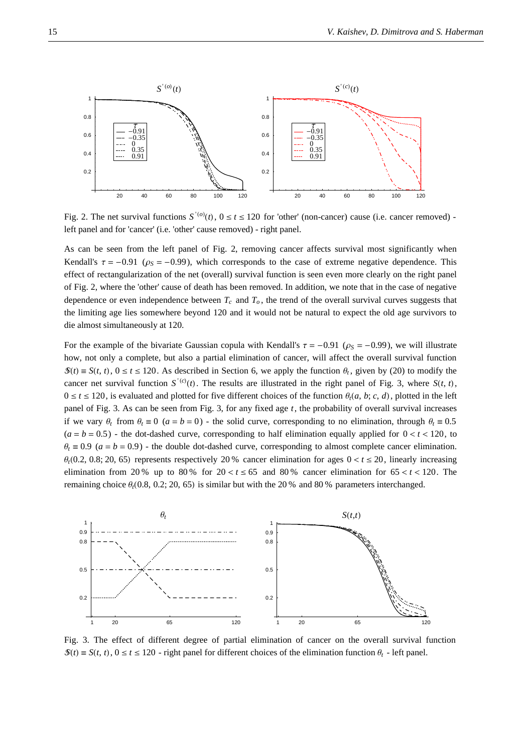

Fig. 2. The net survival functions  $S^{(0)}(t)$ ,  $0 \le t \le 120$  for 'other' (non-cancer) cause (i.e. cancer removed) left panel and for 'cancer' (i.e. 'other' cause removed) - right panel.

As can be seen from the left panel of Fig. 2, removing cancer affects survival most significantly when Kendall's  $\tau = -0.91$  ( $\rho_s = -0.99$ ), which corresponds to the case of extreme negative dependence. This effect of rectangularization of the net (overall) survival function is seen even more clearly on the right panel of Fig. 2, where the 'other' cause of death has been removed. In addition, we note that in the case of negative dependence or even independence between  $T_c$  and  $T_o$ , the trend of the overall survival curves suggests that the limiting age lies somewhere beyond 120 and it would not be natural to expect the old age survivors to die almost simultaneously at 120.

For the example of the bivariate Gaussian copula with Kendall's  $\tau = -0.91$  ( $\rho_s = -0.99$ ), we will illustrate how, not only a complete, but also a partial elimination of cancer, will affect the overall survival function  $\mathcal{S}(t) \equiv S(t, t), 0 \le t \le 120$ . As described in Section 6, we apply the function  $\theta_t$ , given by (20) to modify the cancer net survival function  $S^{(c)}(t)$ . The results are illustrated in the right panel of Fig. 3, where  $S(t, t)$ ,  $0 \le t \le 120$ , is evaluated and plotted for five different choices of the function  $\theta_t(a, b; c, d)$ , plotted in the left panel of Fig. 3. As can be seen from Fig. 3, for any fixed age *t*, the probability of overall survival increases if we vary  $\theta_t$  from  $\theta_t \equiv 0$  ( $a = b = 0$ ) - the solid curve, corresponding to no elimination, through  $\theta_t \equiv 0.5$  $(a = b = 0.5)$  - the dot-dashed curve, corresponding to half elimination equally applied for  $0 < t < 120$ , to  $\theta_t \equiv 0.9$  ( $a = b = 0.9$ ) - the double dot-dashed curve, corresponding to almost complete cancer elimination.  $\theta_t$ (0.2, 0.8; 20, 65) represents respectively 20 % cancer elimination for ages  $0 < t \le 20$ , linearly increasing elimination from 20 % up to 80 % for  $20 < t \le 65$  and 80 % cancer elimination for  $65 < t < 120$ . The remaining choice  $\theta_t(0.8, 0.2; 20, 65)$  is similar but with the 20 % and 80 % parameters interchanged.



Fig. 3. The effect of different degree of partial elimination of cancer on the overall survival function  $\mathcal{S}(t) \equiv S(t, t), 0 \le t \le 120$  - right panel for different choices of the elimination function  $\theta_t$  - left panel.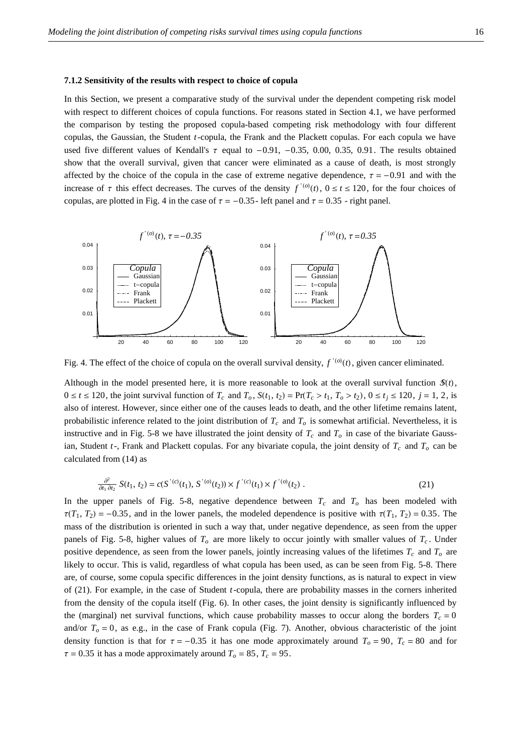#### **7.1.2 Sensitivity of the results with respect to choice of copula**

In this Section, we present a comparative study of the survival under the dependent competing risk model with respect to different choices of copula functions. For reasons stated in Section 4.1, we have performed the comparison by testing the proposed copula-based competing risk methodology with four different copulas, the Gaussian, the Student *t*-copula, the Frank and the Plackett copulas. For each copula we have used five different values of Kendall's  $\tau$  equal to -0.91, -0.35, 0.00, 0.35, 0.91. The results obtained show that the overall survival, given that cancer were eliminated as a cause of death, is most strongly affected by the choice of the copula in the case of extreme negative dependence,  $\tau = -0.91$  and with the increase of  $\tau$  this effect decreases. The curves of the density  $f'(0)(t)$ ,  $0 \le t \le 120$ , for the four choices of copulas, are plotted in Fig. 4 in the case of  $\tau = -0.35$ - left panel and  $\tau = 0.35$ - right panel.



Fig. 4. The effect of the choice of copula on the overall survival density,  $f'(o)(t)$ , given cancer eliminated.

Although in the model presented here, it is more reasonable to look at the overall survival function  $\mathcal{S}(t)$ ,  $0 \le t \le 120$ , the joint survival function of  $T_c$  and  $T_o$ ,  $S(t_1, t_2) = \Pr(T_c > t_1, T_o > t_2)$ ,  $0 \le t_i \le 120$ ,  $j = 1, 2$ , is also of interest. However, since either one of the causes leads to death, and the other lifetime remains latent, probabilistic inference related to the joint distribution of  $T_c$  and  $T_o$  is somewhat artificial. Nevertheless, it is instructive and in Fig. 5-8 we have illustrated the joint density of  $T_c$  and  $T_o$  in case of the bivariate Gaussian, Student  $t$ -, Frank and Plackett copulas. For any bivariate copula, the joint density of  $T_c$  and  $T_o$  can be calculated from (14) as

$$
\frac{\partial^2}{\partial t_1 \partial t_2} S(t_1, t_2) = c(S^{'(c)}(t_1), S^{'(o)}(t_2)) \times f^{'(c)}(t_1) \times f^{'(o)}(t_2).
$$
\n(21)

In the upper panels of Fig. 5-8, negative dependence between  $T_c$  and  $T_o$  has been modeled with  $\tau(T_1, T_2) = -0.35$ , and in the lower panels, the modeled dependence is positive with  $\tau(T_1, T_2) = 0.35$ . The mass of the distribution is oriented in such a way that, under negative dependence, as seen from the upper panels of Fig. 5-8, higher values of  $T<sub>o</sub>$  are more likely to occur jointly with smaller values of  $T<sub>c</sub>$ . Under positive dependence, as seen from the lower panels, jointly increasing values of the lifetimes  $T_c$  and  $T_o$  are likely to occur. This is valid, regardless of what copula has been used, as can be seen from Fig. 5-8. There are, of course, some copula specific differences in the joint density functions, as is natural to expect in view of (21). For example, in the case of Student *t*-copula, there are probability masses in the corners inherited from the density of the copula itself (Fig. 6). In other cases, the joint density is significantly influenced by the (marginal) net survival functions, which cause probability masses to occur along the borders  $T_c = 0$ and/or  $T<sub>o</sub> = 0$ , as e.g., in the case of Frank copula (Fig. 7). Another, obvious characteristic of the joint density function is that for  $\tau = -0.35$  it has one mode approximately around  $T_o = 90$ ,  $T_c = 80$  and for  $\tau = 0.35$  it has a mode approximately around  $T<sub>o</sub> = 85$ ,  $T<sub>c</sub> = 95$ .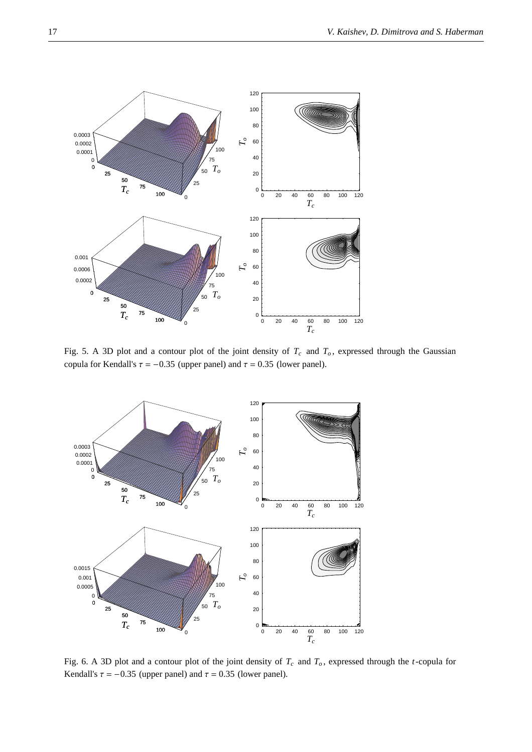

Fig. 5. A 3D plot and a contour plot of the joint density of  $T_c$  and  $T_o$ , expressed through the Gaussian copula for Kendall's  $\tau = -0.35$  (upper panel) and  $\tau = 0.35$  (lower panel).



Fig. 6. A 3D plot and a contour plot of the joint density of  $T_c$  and  $T_o$ , expressed through the *t*-copula for Kendall's  $\tau = -0.35$  (upper panel) and  $\tau = 0.35$  (lower panel).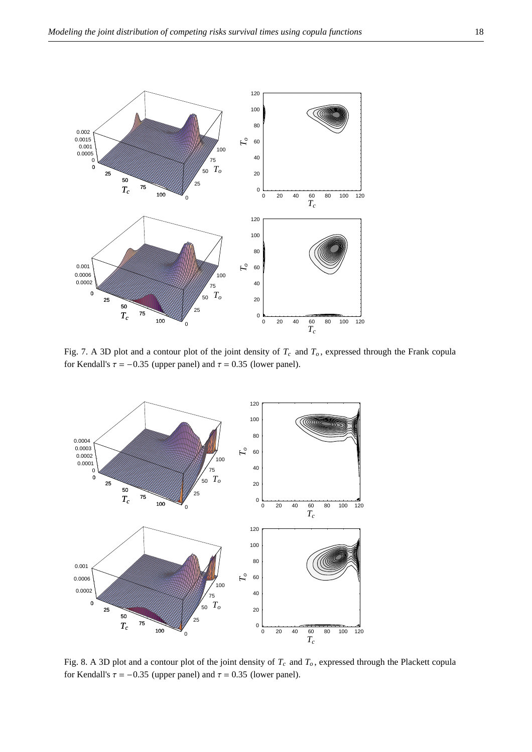

Fig. 7. A 3D plot and a contour plot of the joint density of  $T_c$  and  $T_o$ , expressed through the Frank copula for Kendall's  $\tau = -0.35$  (upper panel) and  $\tau = 0.35$  (lower panel).



Fig. 8. A 3D plot and a contour plot of the joint density of  $T_c$  and  $T_o$ , expressed through the Plackett copula for Kendall's  $\tau = -0.35$  (upper panel) and  $\tau = 0.35$  (lower panel).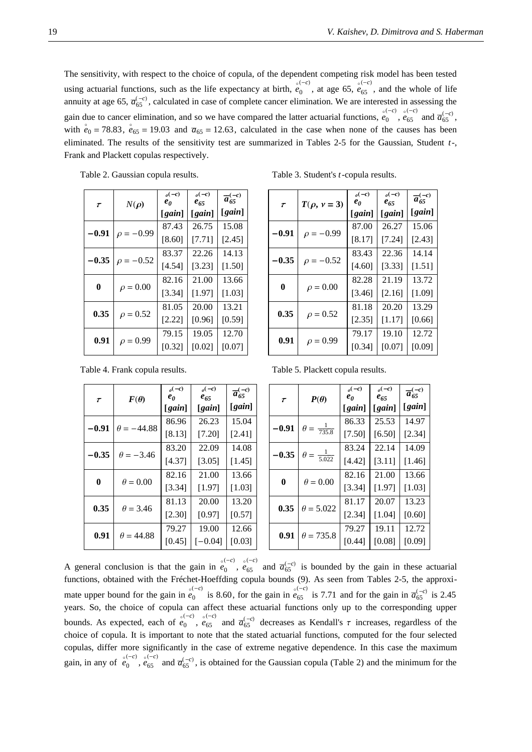The sensitivity, with respect to the choice of copula, of the dependent competing risk model has been tested using actuarial functions, such as the life expectancy at birth, *e* ë  $\int_{0}^{(-c)}$ , at age 65, *e*  $_{65}^{(-c)}$ , and the whole of life annuity at age 65,  $\overline{a}_{65}^{(-c)}$ , calculated in case of complete cancer elimination. We are interested in assessing the gain due to cancer elimination, and so we have compared the latter actuarial functions, *e* ë (-c) 。<br>0 ,*e*  $_{65}^{(-c)}$  and  $\overline{a}_{65}^{(-c)}$ , with  $e_0$  = 78.83,  $e_{65}$  = 19.03 and  $\overline{a}_{65}$  = 12.63, calculated in the case when none of the causes has been eliminated. The results of the sensitivity test are summarized in Tables 2-5 for the Gaussian, Student *t*-, Frank and Plackett copulas respectively.

| T        | $N(\rho)$      | $_{o}(-c)$<br>$e_{\theta}$ | $_{\circ}(-c)$<br>$e_{65}$ | $\overline{a}_{65}^{(-c)}$ |  |  |
|----------|----------------|----------------------------|----------------------------|----------------------------|--|--|
|          |                | [gain]                     | [gain]                     | [gain]                     |  |  |
|          |                | 87.43                      | 26.75                      | 15.08                      |  |  |
| $-0.91$  | $\rho = -0.99$ | [8.60]                     | [7.71]                     | [2.45]                     |  |  |
| $-0.35$  |                | 83.37                      | 22.26                      | 14.13<br>$[1.50]$          |  |  |
|          | $\rho = -0.52$ | [4.54]                     | [3.23]                     |                            |  |  |
| $\bf{0}$ |                | 82.16                      | 21.00                      | 13.66                      |  |  |
|          | $\rho = 0.00$  | [3.34]                     | [1.97]                     | [1.03]                     |  |  |
| 0.35     |                | 81.05                      | 20.00                      | 13.21                      |  |  |
|          | $\rho = 0.52$  | [2.22]                     | [0.96]                     | [0.59]                     |  |  |
| 0.91     |                | 79.15                      | 19.05                      | 12.70                      |  |  |
|          | $\rho = 0.99$  | [0.32]                     | [0.02]                     | [0.07]                     |  |  |

Table 3. Student's *t*-copula results.

| T                         | $T(\rho, \nu = 3)$ | $_{\circ}(-c)$<br>$e_0$ | $_{\circ}(-c)$<br>$e_{65}$ | $\overline{a}_{65}^{(-c)}$<br>[gain]<br>15.06<br>[2.43]<br>14.14<br>[1.51] |
|---------------------------|--------------------|-------------------------|----------------------------|----------------------------------------------------------------------------|
|                           |                    | [gain]                  | [gain]                     |                                                                            |
|                           |                    | 87.00                   | 26.27                      |                                                                            |
| $-0.91$                   | $\rho = -0.99$     | [8.17]                  | [7.24]                     |                                                                            |
| $-0.35$<br>$\rho = -0.52$ |                    | 83.43                   | 22.36                      |                                                                            |
|                           |                    | [4.60]                  | [3.33]                     |                                                                            |
| $\bf{0}$                  |                    | 82.28                   | 21.19                      | 13.72                                                                      |
|                           | $\rho = 0.00$      | [3.46]                  | [2.16]                     | [1.09]                                                                     |
| 0.35                      |                    | 81.18                   | 20.20                      | 13.29                                                                      |
|                           | $\rho = 0.52$      | [2.35]                  | [1.17]                     | [0.66]                                                                     |
|                           |                    | 79.17                   | 19.10                      | 12.72                                                                      |
| 0.91                      | $\rho = 0.99$      | [0.34]                  | [0.07]                     | [0.09]                                                                     |

Table 4. Frank copula results.

| T       | $\boldsymbol{F}(\boldsymbol{\theta})$ | $_{\circ}(-c)$<br>$e_{\theta}$ | $_{\circ}(-c)$<br>$e_{65}$ | $\overline{a}_{65}^{(-c)}$                                                                            |
|---------|---------------------------------------|--------------------------------|----------------------------|-------------------------------------------------------------------------------------------------------|
|         |                                       | [gain]                         | [gain]                     | [gain]<br>15.04<br>[2.41]<br>14.08<br>[1.45]<br>13.66<br>[1.03]<br>13.20<br>[0.57]<br>12.66<br>[0.03] |
| -0.91   | $\theta = -44.88$                     | 86.96                          | 26.23                      |                                                                                                       |
|         |                                       | [8.13]                         | [7.20]                     |                                                                                                       |
| $-0.35$ | $\theta = -3.46$                      | 83.20                          | 22.09                      |                                                                                                       |
|         |                                       | [4.37]                         | [3.05]                     |                                                                                                       |
| 0       | $\theta = 0.00$                       | 82.16                          | 21.00                      |                                                                                                       |
|         |                                       | [3.34]                         | [1.97]                     |                                                                                                       |
| 0.35    | $\theta = 3.46$                       | 81.13                          | 20.00                      |                                                                                                       |
|         |                                       | $[2.30]$                       | [0.97]                     |                                                                                                       |
| 0.91    | $\theta = 44.88$                      | 79.27                          | 19.00                      |                                                                                                       |
|         |                                       | [0.45]                         | $[-0.04]$                  |                                                                                                       |

| Table 5. Plackett copula results. |  |
|-----------------------------------|--|
|-----------------------------------|--|

| T       | $P(\theta)$                     | $_{o}(-c)$<br>$e_{\theta}$ | $_{o}(-c)$<br>$e_{65}$ | $\overline{a}_{65}^{(-c)}$ |
|---------|---------------------------------|----------------------------|------------------------|----------------------------|
|         |                                 | [gain]                     | [gain]                 | [gain]                     |
| $-0.91$ |                                 | 86.33                      | 25.53                  | 14.97                      |
|         | $\frac{1}{735.8}$<br>$\theta =$ | [7.50]                     | [6.50]                 | [2.34]                     |
| $-0.35$ |                                 | 83.24                      | 22.14                  | 14.09                      |
|         | $\frac{1}{5.022}$<br>$\theta =$ | [4.42]                     | [3.11]                 | [1.46]                     |
| 0       |                                 | 82.16                      | 21.00                  | 13.66                      |
|         | $\theta = 0.00$                 | [3.34]                     | [1.97]                 | [1.03]                     |
| 0.35    | $\theta = 5.022$                | 81.17                      | 20.07                  | 13.23                      |
|         |                                 | [2.34]                     | [1.04]                 | [0.60]                     |
| 0.91    | $\theta = 735.8$                | 79.27                      | 19.11                  | 12.72                      |
|         |                                 | [0.44]                     | [0.08]                 | [0.09]                     |

A general conclusion is that the gain in  $\hat{e}$ (-c) 。<br>0 , e  $\frac{(-c)}{65}$  and  $\overline{a}_{65}^{(-c)}$  is bounded by the gain in these actuarial functions, obtained with the Fréchet-Hoeffding copula bounds (9). As seen from Tables 2-5, the approximate upper bound for the gain in  $\phi$  $\int_0^{(-c)}$  is 8.60, for the gain in  $\int_c^{\infty}$  $\frac{(-c)}{65}$  is 7.71 and for the gain in  $\overline{a}_{65}^{(-c)}$  is 2.45 years. So, the choice of copula can affect these actuarial functions only up to the corresponding upper bounds. As expected, each of *e* ë (-c) 。<br>0 , *e*  $\frac{(-c)}{65}$  and  $\overline{a}_{65}^{(-c)}$  decreases as Kendall's  $\tau$  increases, regardless of the choice of copula. It is important to note that the stated actuarial functions, computed for the four selected copulas, differ more significantly in the case of extreme negative dependence. In this case the maximum gain, in any of *e* ë (-c)<br>0 , e  $\frac{(-c)}{65}$  and  $\overline{a}_{65}^{(-c)}$ , is obtained for the Gaussian copula (Table 2) and the minimum for the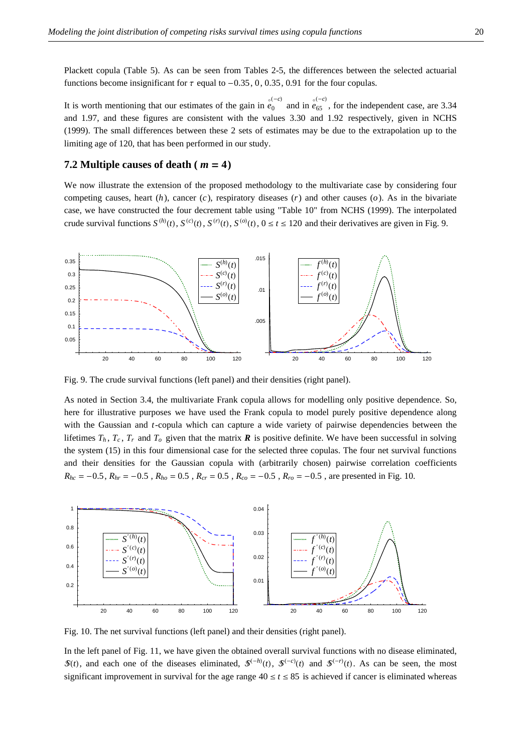Plackett copula (Table 5). As can be seen from Tables 2-5, the differences between the selected actuarial functions become insignificant for  $\tau$  equal to  $-0.35$ , 0, 0.35, 0.91 for the four copulas.

It is worth mentioning that our estimates of the gain in  $\vec{e}$  $\int_0^{(-c)}$  and in *e*  $\frac{(-c)}{65}$ , for the independent case, are 3.34 and 1.97, and these figures are consistent with the values 3.30 and 1.92 respectively, given in NCHS (1999). The small differences between these 2 sets of estimates may be due to the extrapolation up to the limiting age of 120, that has been performed in our study.

#### **7.2 Multiple causes of death (** $m = 4$ **)**

We now illustrate the extension of the proposed methodology to the multivariate case by considering four competing causes, heart (*h*), cancer (*c*), respiratory diseases (*r*) and other causes (*o*). As in the bivariate case, we have constructed the four decrement table using "Table 10" from NCHS (1999). The interpolated crude survival functions  $S^{(h)}(t)$ ,  $S^{(c)}(t)$ ,  $S^{(r)}(t)$ ,  $S^{(o)}(t)$ ,  $0 \le t \le 120$  and their derivatives are given in Fig. 9.



Fig. 9. The crude survival functions (left panel) and their densities (right panel).

As noted in Section 3.4, the multivariate Frank copula allows for modelling only positive dependence. So, here for illustrative purposes we have used the Frank copula to model purely positive dependence along with the Gaussian and *t*-copula which can capture a wide variety of pairwise dependencies between the lifetimes  $T_h$ ,  $T_c$ ,  $T_r$  and  $T_o$  given that the matrix  $\bm{R}$  is positive definite. We have been successful in solving the system (15) in this four dimensional case for the selected three copulas. The four net survival functions and their densities for the Gaussian copula with (arbitrarily chosen) pairwise correlation coefficients  $R_{hc} = -0.5$ ,  $R_{hr} = -0.5$ ,  $R_{ho} = 0.5$ ,  $R_{cr} = 0.5$ ,  $R_{co} = -0.5$ ,  $R_{ro} = -0.5$ , are presented in Fig. 10.



Fig. 10. The net survival functions (left panel) and their densities (right panel).

In the left panel of Fig. 11, we have given the obtained overall survival functions with no disease eliminated,  $\mathcal{S}(t)$ , and each one of the diseases eliminated,  $\mathcal{S}^{(-h)}(t)$ ,  $\mathcal{S}^{(-c)}(t)$  and  $\mathcal{S}^{(-r)}(t)$ . As can be seen, the most significant improvement in survival for the age range  $40 \le t \le 85$  is achieved if cancer is eliminated whereas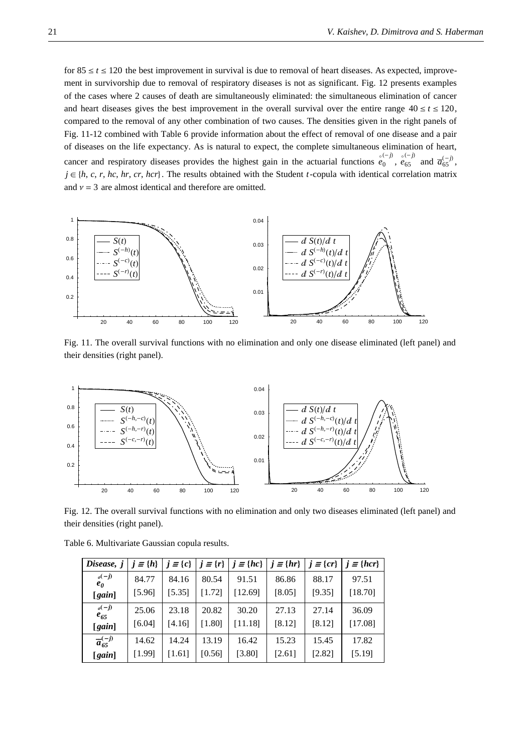for  $85 \le t \le 120$  the best improvement in survival is due to removal of heart diseases. As expected, improvement in survivorship due to removal of respiratory diseases is not as significant. Fig. 12 presents examples of the cases where 2 causes of death are simultaneously eliminated: the simultaneous elimination of cancer and heart diseases gives the best improvement in the overall survival over the entire range  $40 \le t \le 120$ , compared to the removal of any other combination of two causes. The densities given in the right panels of Fig. 11-12 combined with Table 6 provide information about the effect of removal of one disease and a pair of diseases on the life expectancy. As is natural to expect, the complete simultaneous elimination of heart, cancer and respiratory diseases provides the highest gain in the actuarial functions *e* ë (*-j*) 。<br>0 ,*e*  $\frac{(-j)}{65}$  and  $\overline{a}_{65}^{(-j)}$ ,  $j \in \{h, c, r, hc, hr, cr, hcr\}$ . The results obtained with the Student *t*-copula with identical correlation matrix and  $v = 3$  are almost identical and therefore are omitted.



Fig. 11. The overall survival functions with no elimination and only one disease eliminated (left panel) and their densities (right panel).



Fig. 12. The overall survival functions with no elimination and only two diseases eliminated (left panel) and their densities (right panel).

| Disease, j                 | $j \equiv \{h\}$ | $j \equiv \{c\}$ | $j \equiv \{r\}$ | $\mid j \equiv \{hc\} \mid j \equiv \{hr\}$ |        | $j \equiv \{cr\}$ | $j \equiv \{ hcr \}$ |
|----------------------------|------------------|------------------|------------------|---------------------------------------------|--------|-------------------|----------------------|
| $o(-j)$<br>$e_{\theta}$    | 84.77            | 84.16            | 80.54            | 91.51                                       | 86.86  | 88.17             | 97.51                |
| [gain]                     | [5.96]           | [5.35]           | [1.72]           | [12.69]                                     | [8.05] | [9.35]            | [18.70]              |
| $o(-j)$<br>$e_{65}$        | 25.06            | 23.18            | 20.82            | 30.20                                       | 27.13  | 27.14             | 36.09                |
| [gain]                     | [6.04]           | [4.16]           | [1.80]           | [11.18]                                     | [8.12] | [8.12]            | [17.08]              |
| $\overline{a}_{65}^{(-j)}$ | 14.62            | 14.24            | 13.19            | 16.42                                       | 15.23  | 15.45             | 17.82                |
| [gain]                     | [1.99]           | $[1.61]$         | [0.56]           | [3.80]                                      | [2.61] | [2.82]            | [5.19]               |

Table 6. Multivariate Gaussian copula results.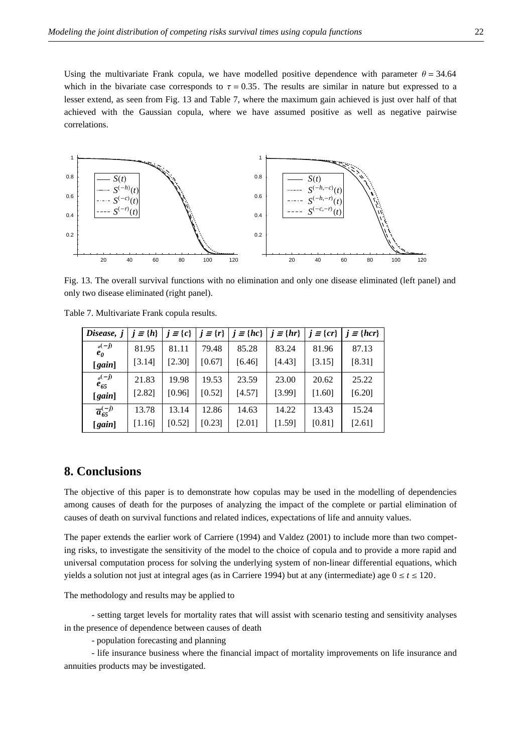Using the multivariate Frank copula, we have modelled positive dependence with parameter  $\theta = 34.64$ which in the bivariate case corresponds to  $\tau = 0.35$ . The results are similar in nature but expressed to a lesser extend, as seen from Fig. 13 and Table 7, where the maximum gain achieved is just over half of that achieved with the Gaussian copula, where we have assumed positive as well as negative pairwise correlations.



Fig. 13. The overall survival functions with no elimination and only one disease eliminated (left panel) and only two disease eliminated (right panel).

| Disease, j                 | $j \equiv \{h\}$ | $j \equiv \{c\}$ | $j \equiv \{r\}$ | $j \equiv \{hc\}$ | $j \equiv \{hr\}$ |        | $j \equiv \{cr\}$ $j \equiv \{hcr\}$ |
|----------------------------|------------------|------------------|------------------|-------------------|-------------------|--------|--------------------------------------|
| $o(-j)$<br>$e_{\theta}$    | 81.95            | 81.11            | 79.48            | 85.28             | 83.24             | 81.96  | 87.13                                |
| [gain]                     | [3.14]           | [2.30]           | [0.67]           | [6.46]            | [4.43]            | [3.15] | [8.31]                               |
| $o(-j)$<br>$e_{65}$        | 21.83            | 19.98            | 19.53            | 23.59             | 23.00             | 20.62  | 25.22                                |
| [gain]                     | [2.82]           | [0.96]           | [0.52]           | [4.57]            | [3.99]            | [1.60] | [6.20]                               |
| $\overline{a}_{65}^{(-j)}$ | 13.78            | 13.14            | 12.86            | 14.63             | 14.22             | 13.43  | 15.24                                |
| [gain]                     | [1.16]           | [0.52]           | [0.23]           | [2.01]            | [1.59]            | [0.81] | [2.61]                               |

Table 7. Multivariate Frank copula results.

### **8. Conclusions**

The objective of this paper is to demonstrate how copulas may be used in the modelling of dependencies among causes of death for the purposes of analyzing the impact of the complete or partial elimination of causes of death on survival functions and related indices, expectations of life and annuity values.

The paper extends the earlier work of Carriere (1994) and Valdez (2001) to include more than two competing risks, to investigate the sensitivity of the model to the choice of copula and to provide a more rapid and universal computation process for solving the underlying system of non-linear differential equations, which yields a solution not just at integral ages (as in Carriere 1994) but at any (intermediate) age  $0 \le t \le 120$ .

The methodology and results may be applied to

- setting target levels for mortality rates that will assist with scenario testing and sensitivity analyses in the presence of dependence between causes of death

- population forecasting and planning

- life insurance business where the financial impact of mortality improvements on life insurance and annuities products may be investigated.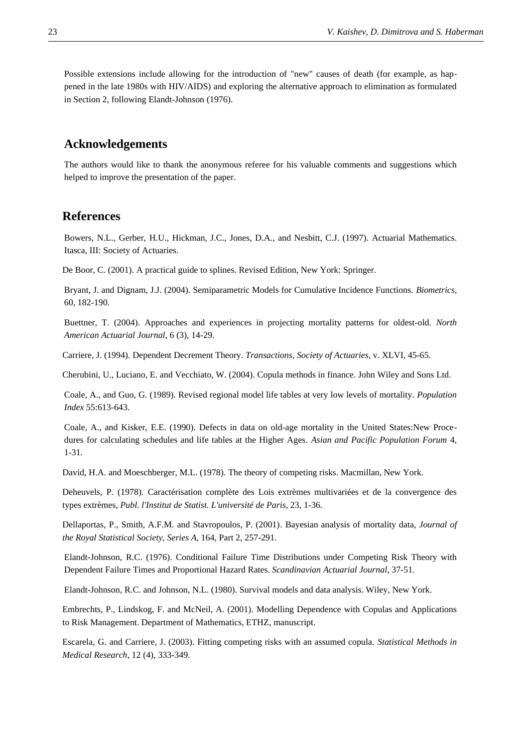Possible extensions include allowing for the introduction of "new" causes of death (for example, as happened in the late 1980s with HIV/AIDS) and exploring the alternative approach to elimination as formulated in Section 2, following Elandt-Johnson (1976).

#### **Acknowledgements**

The authors would like to thank the anonymous referee for his valuable comments and suggestions which helped to improve the presentation of the paper.

#### **References**

Bowers, N.L., Gerber, H.U., Hickman, J.C., Jones, D.A., and Nesbitt, C.J. (1997). Actuarial Mathematics. Itasca, III: Society of Actuaries.

De Boor, C. (2001). A practical guide to splines. Revised Edition, New York: Springer.

Bryant, J. and Dignam, J.J. (2004). Semiparametric Models for Cumulative Incidence Functions. *Biometrics*, 60, 182-190.

Buettner, T. (2004). Approaches and experiences in projecting mortality patterns for oldest-old. *North American Actuarial Journal*, 6 (3), 14-29.

Carriere, J. (1994). Dependent Decrement Theory. *Transactions, Society of Actuaries*, v. XLVI, 45-65.

Cherubini, U., Luciano, E. and Vecchiato, W. (2004). Copula methods in finance. John Wiley and Sons Ltd.

Coale, A., and Guo, G. (1989). Revised regional model life tables at very low levels of mortality. *Population Index* 55:613-643.

Coale, A., and Kisker, E.E. (1990). Defects in data on old-age mortality in the United States:New Procedures for calculating schedules and life tables at the Higher Ages. *Asian and Pacific Population Forum* 4, 1-31*.*

David, H.A. and Moeschberger, M.L. (1978). The theory of competing risks. Macmillan, New York.

Deheuvels, P. (1978). Caractérisation complète des Lois extrèmes multivariées et de la convergence des types extrèmes, *Publ. l'Institut de Statist. L'université de Paris,* 23, 1-36*.*

Dellaportas, P., Smith, A.F.M. and Stavropoulos, P. (2001). Bayesian analysis of mortality data, *Journal of the Royal Statistical Society, Series A*, 164, Part 2, 257-291.

Elandt-Johnson, R.C. (1976). Conditional Failure Time Distributions under Competing Risk Theory with Dependent Failure Times and Proportional Hazard Rates. *Scandinavian Actuarial Journal*, 37-51.

Elandt-Johnson, R.C. and Johnson, N.L. (1980). Survival models and data analysis. Wiley, New York.

Embrechts, P., Lindskog, F. and McNeil, A. (2001). Modelling Dependence with Copulas and Applications to Risk Management. Department of Mathematics, ETHZ, manuscript.

Escarela, G. and Carriere, J. (2003). Fitting competing risks with an assumed copula. *Statistical Methods in Medical Research*, 12 (4), 333-349.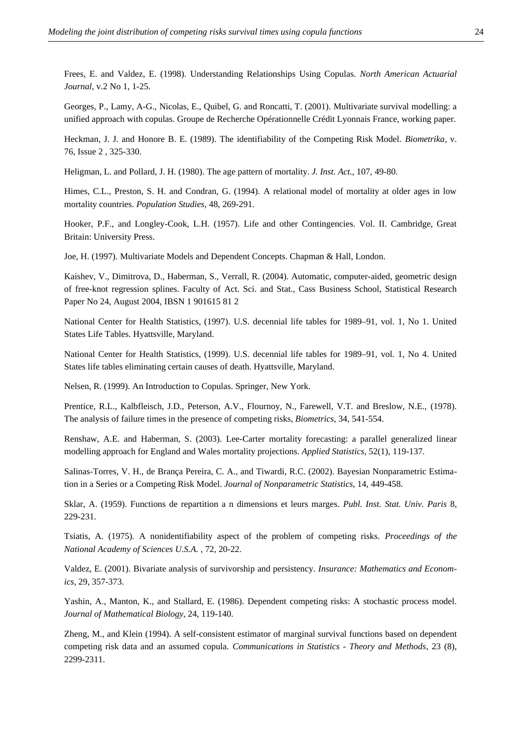Frees, E. and Valdez, E. (1998). Understanding Relationships Using Copulas. *North American Actuarial Journal*, v.2 No 1, 1-25.

Georges, P., Lamy, A-G., Nicolas, E., Quibel, G. and Roncatti, T. (2001). Multivariate survival modelling: a unified approach with copulas. Groupe de Recherche Opérationnelle Crédit Lyonnais France, working paper.

Heckman, J. J. and Honore B. E. (1989). The identifiability of the Competing Risk Model. *Biometrika*, v. 76, Issue 2 , 325-330.

Heligman, L. and Pollard, J. H. (1980). The age pattern of mortality. *J. Inst. Act.*, 107, 49-80.

Himes, C.L., Preston, S. H. and Condran, G. (1994). A relational model of mortality at older ages in low mortality countries. *Population Studies*, 48, 269-291.

Hooker, P.F., and Longley-Cook, L.H. (1957). Life and other Contingencies. Vol. II. Cambridge, Great Britain: University Press.

Joe, H. (1997). Multivariate Models and Dependent Concepts. Chapman & Hall, London.

Kaishev, V., Dimitrova, D., Haberman, S., Verrall, R. (2004). Automatic, computer-aided, geometric design of free-knot regression splines. Faculty of Act. Sci. and Stat., Cass Business School, Statistical Research Paper No 24, August 2004, IBSN 1 901615 81 2

National Center for Health Statistics, (1997). U.S. decennial life tables for 1989–91, vol. 1, No 1. United States Life Tables. Hyattsville, Maryland.

National Center for Health Statistics, (1999). U.S. decennial life tables for 1989–91, vol. 1, No 4. United States life tables eliminating certain causes of death. Hyattsville, Maryland.

Nelsen, R. (1999). An Introduction to Copulas. Springer, New York.

Prentice, R.L., Kalbfleisch, J.D., Peterson, A.V., Flournoy, N., Farewell, V.T. and Breslow, N.E., (1978). The analysis of failure times in the presence of competing risks, *Biometrics*, 34, 541-554.

Renshaw, A.E. and Haberman, S. (2003). Lee-Carter mortality forecasting: a parallel generalized linear modelling approach for England and Wales mortality projections. *Applied Statistics*, 52(1), 119-137.

Salinas-Torres, V. H., de Brança Pereira, C. A., and Tiwardi, R.C. (2002). Bayesian Nonparametric Estimation in a Series or a Competing Risk Model. *Journal of Nonparametric Statistics*, 14, 449-458.

Sklar, A. (1959). Functions de repartition a n dimensions et leurs marges. *Publ. Inst. Stat. Univ. Paris* 8, 229-231.

Tsiatis, A. (1975). A nonidentifiability aspect of the problem of competing risks. *Proceedings of the National Academy of Sciences U.S.A.* , 72, 20-22.

Valdez, E. (2001). Bivariate analysis of survivorship and persistency. *Insurance: Mathematics and Economics*, 29, 357-373.

Yashin, A., Manton, K., and Stallard, E. (1986). Dependent competing risks: A stochastic process model. *Journal of Mathematical Biology*, 24, 119-140.

Zheng, M., and Klein (1994). A self-consistent estimator of marginal survival functions based on dependent competing risk data and an assumed copula. *Communications in Statistics - Theory and Methods*, 23 (8), 2299-2311.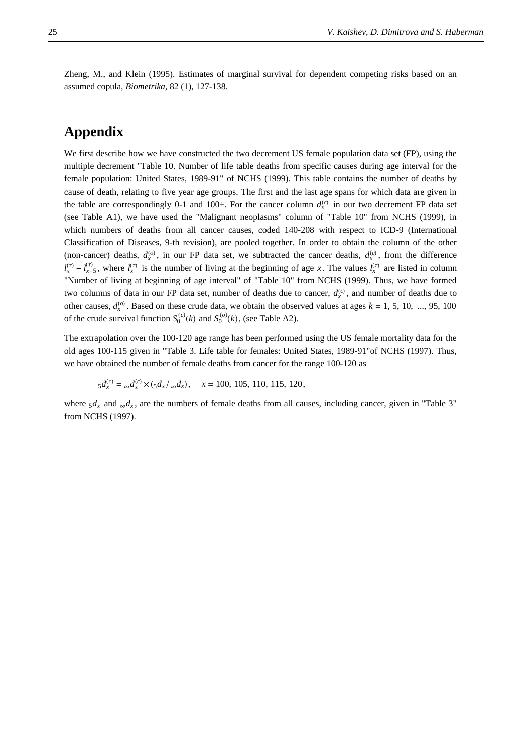Zheng, M., and Klein (1995). Estimates of marginal survival for dependent competing risks based on an assumed copula, *Biometrika*, 82 (1), 127-138.

## **Appendix**

We first describe how we have constructed the two decrement US female population data set (FP), using the multiple decrement "Table 10. Number of life table deaths from specific causes during age interval for the female population: United States, 1989-91" of NCHS (1999). This table contains the number of deaths by cause of death, relating to five year age groups. The first and the last age spans for which data are given in the table are correspondingly 0-1 and 100+. For the cancer column  $d_x^{(c)}$  in our two decrement FP data set (see Table A1), we have used the "Malignant neoplasms" column of "Table 10" from NCHS (1999), in which numbers of deaths from all cancer causes, coded 140-208 with respect to ICD-9 (International Classification of Diseases, 9-th revision), are pooled together. In order to obtain the column of the other (non-cancer) deaths,  $d_x^{(o)}$ , in our FP data set, we subtracted the cancer deaths,  $d_x^{(c)}$ , from the difference  $l_x^{(\tau)} - l_{x+5}^{(\tau)}$ , where  $l_x^{(\tau)}$  is the number of living at the beginning of age *x*. The values  $l_x^{(\tau)}$  are listed in column "Number of living at beginning of age interval" of "Table 10" from NCHS (1999). Thus, we have formed two columns of data in our FP data set, number of deaths due to cancer,  $d_x^{(c)}$ , and number of deaths due to other causes,  $d_x^{(0)}$ . Based on these crude data, we obtain the observed values at ages  $k = 1, 5, 10, ..., 95, 100$ of the crude survival function  $S_0^{(c)}(k)$  and  $S_0^{(o)}(k)$ , (see Table A2).

The extrapolation over the 100-120 age range has been performed using the US female mortality data for the old ages 100-115 given in "Table 3. Life table for females: United States, 1989-91"of NCHS (1997). Thus, we have obtained the number of female deaths from cancer for the range 100-120 as

$$
{}_5d_x^{(c)} = {}_{\infty}d_x^{(c)} \times ({}_{5}d_x/{}_{\infty}d_x), \quad x = 100, 105, 110, 115, 120,
$$

where  $5d_x$  and  $\Delta d_x$ , are the numbers of female deaths from all causes, including cancer, given in "Table 3" from NCHS (1997).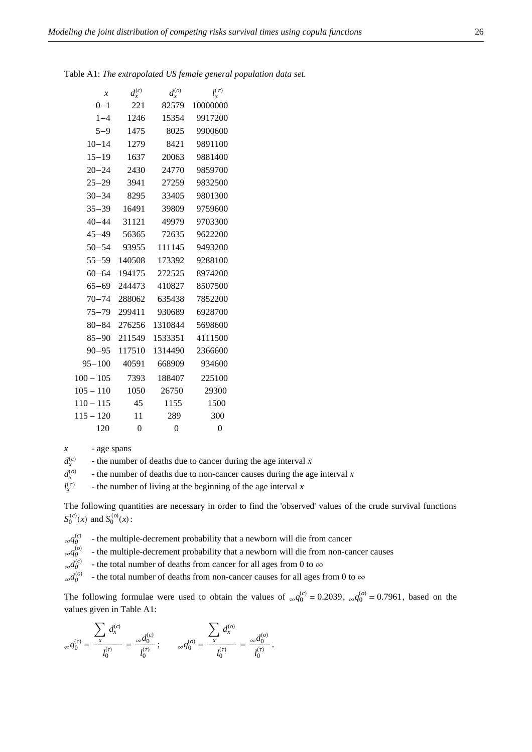| $\mathcal{X}$ | $d_x^{(c)}$ | $d_x^{(o)}$ | $l_x^{(\tau)}$ |
|---------------|-------------|-------------|----------------|
| $0 - 1$       | 221         | 82579       | 10000000       |
| $1 - 4$       | 1246        | 15354       | 9917200        |
| $5 - 9$       | 1475        | 8025        | 9900600        |
| $10 - 14$     | 1279        | 8421        | 9891100        |
| $15 - 19$     | 1637        | 20063       | 9881400        |
| $20 - 24$     | 2430        | 24770       | 9859700        |
| $25 - 29$     | 3941        | 27259       | 9832500        |
| $30 - 34$     | 8295        | 33405       | 9801300        |
| $35 - 39$     | 16491       | 39809       | 9759600        |
| $40 - 44$     | 31121       | 49979       | 9703300        |
| $45 - 49$     | 56365       | 72635       | 9622200        |
| $50 - 54$     | 93955       | 111145      | 9493200        |
| $55 - 59$     | 140508      | 173392      | 9288100        |
| $60 - 64$     | 194175      | 272525      | 8974200        |
| $65 - 69$     | 244473      | 410827      | 8507500        |
| $70 - 74$     | 288062      | 635438      | 7852200        |
| $75 - 79$     | 299411      | 930689      | 6928700        |
| $80 - 84$     | 276256      | 1310844     | 5698600        |
| $85 - 90$     | 211549      | 1533351     | 4111500        |
| $90 - 95$     | 117510      | 1314490     | 2366600        |
| $95 - 100$    | 40591       | 668909      | 934600         |
| $100 - 105$   | 7393        | 188407      | 225100         |
| $105 - 110$   | 1050        | 26750       | 29300          |
| $110 - 115$   | 45          | 1155        | 1500           |
| $115 - 120$   | 11          | 289         | 300            |
| 120           | $\theta$    | $\theta$    | $\Omega$       |

Table A1: *The extrapolated US female general population data set.* 

*x* - age spans

 $d_x^{(c)}$  $\pm$  the number of deaths due to cancer during the age interval *x* 

 $d_x^{(o)}$  $\overline{\phantom{a}}$  - the number of deaths due to non-cancer causes during the age interval *x* 

 $l_{\mathbf{r}}^{(\tau)}$  $\pm$  the number of living at the beginning of the age interval *x* 

The following quantities are necessary in order to find the 'observed' values of the crude survival functions  $S_0^{(c)}(x)$  and  $S_0^{(o)}(x)$ :

 $_{\infty}q_0^{(c)}$ - the multiple-decrement probability that a newborn will die from cancer

 $\alpha q_0^{(o)}$ - the multiple-decrement probability that a newborn will die from non-cancer causes

 $_{\alpha}d_0^{(c)}$ - the total number of deaths from cancer for all ages from 0 to  $\infty$ 

 $\alpha d_0^{(o)}$ - the total number of deaths from non-cancer causes for all ages from 0 to  $\infty$ 

The following formulae were used to obtain the values of  $_{\infty}q_0^{(c)} = 0.2039$ ,  $_{\infty}q_0^{(o)} = 0.7961$ , based on the values given in Table A1:

$$
{}_{\infty}q_0^{(c)} = \frac{\sum \limits_x d_x^{(c)}}{l_0^{(\tau)}} = \frac{{}_{\infty}d_0^{(c)}}{l_0^{(\tau)}}; \qquad {}_{\infty}q_0^{(o)} = \frac{\sum \limits_x d_x^{(o)}}{l_0^{(\tau)}} = \frac{{}_{\infty}d_0^{(o)}}{l_0^{(\tau)}}.
$$